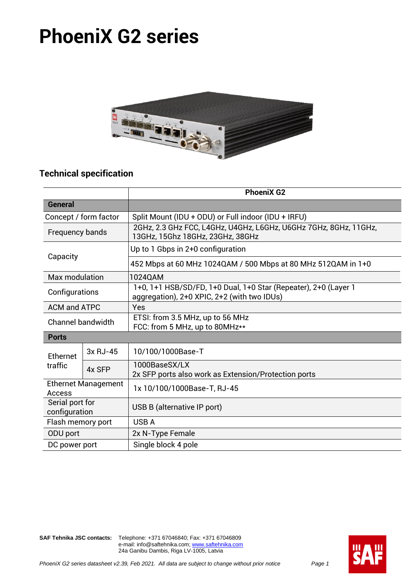# **PhoeniX G2 series**



# **Technical specification**

|                                      |          | <b>PhoeniX G2</b>                                                                                              |  |  |  |  |  |
|--------------------------------------|----------|----------------------------------------------------------------------------------------------------------------|--|--|--|--|--|
| <b>General</b>                       |          |                                                                                                                |  |  |  |  |  |
| Concept / form factor                |          | Split Mount (IDU + ODU) or Full indoor (IDU + IRFU)                                                            |  |  |  |  |  |
| Frequency bands                      |          | 2GHz, 2.3 GHz FCC, L4GHz, U4GHz, L6GHz, U6GHz 7GHz, 8GHz, 11GHz,<br>13GHz, 15Ghz 18GHz, 23GHz, 38GHz           |  |  |  |  |  |
| Capacity                             |          | Up to 1 Gbps in 2+0 configuration                                                                              |  |  |  |  |  |
|                                      |          | 452 Mbps at 60 MHz 1024QAM / 500 Mbps at 80 MHz 512QAM in 1+0                                                  |  |  |  |  |  |
| Max modulation                       |          | 1024QAM                                                                                                        |  |  |  |  |  |
| Configurations                       |          | 1+0, 1+1 HSB/SD/FD, 1+0 Dual, 1+0 Star (Repeater), 2+0 (Layer 1<br>aggregation), 2+0 XPIC, 2+2 (with two IDUs) |  |  |  |  |  |
| <b>ACM and ATPC</b>                  |          | Yes                                                                                                            |  |  |  |  |  |
| <b>Channel bandwidth</b>             |          | ETSI: from 3.5 MHz, up to 56 MHz<br>FCC: from 5 MHz, up to 80MHz**                                             |  |  |  |  |  |
| <b>Ports</b>                         |          |                                                                                                                |  |  |  |  |  |
| Ethernet                             | 3x RJ-45 | 10/100/1000Base-T                                                                                              |  |  |  |  |  |
| traffic                              | 4x SFP   | 1000BaseSX/LX<br>2x SFP ports also work as Extension/Protection ports                                          |  |  |  |  |  |
| <b>Ethernet Management</b><br>Access |          | 1x 10/100/1000Base-T, RJ-45                                                                                    |  |  |  |  |  |
| Serial port for<br>configuration     |          | USB B (alternative IP port)                                                                                    |  |  |  |  |  |
| Flash memory port                    |          | <b>USBA</b>                                                                                                    |  |  |  |  |  |
| ODU port                             |          | 2x N-Type Female                                                                                               |  |  |  |  |  |
| DC power port                        |          | Single block 4 pole                                                                                            |  |  |  |  |  |

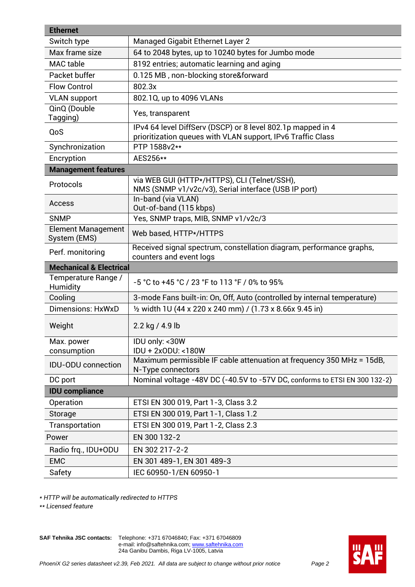| <b>Ethernet</b>                           |                                                                                                                            |
|-------------------------------------------|----------------------------------------------------------------------------------------------------------------------------|
| Switch type                               | <b>Managed Gigabit Ethernet Layer 2</b>                                                                                    |
| Max frame size                            | 64 to 2048 bytes, up to 10240 bytes for Jumbo mode                                                                         |
| <b>MAC</b> table                          | 8192 entries; automatic learning and aging                                                                                 |
| Packet buffer                             | 0.125 MB, non-blocking store&forward                                                                                       |
| <b>Flow Control</b>                       | 802.3x                                                                                                                     |
| <b>VLAN support</b>                       | 802.1Q, up to 4096 VLANs                                                                                                   |
| QinQ (Double<br>Tagging)                  | Yes, transparent                                                                                                           |
| QoS                                       | IPv4 64 level DiffServ (DSCP) or 8 level 802.1p mapped in 4<br>prioritization queues with VLAN support, IPv6 Traffic Class |
| Synchronization                           | PTP 1588v2**                                                                                                               |
| Encryption                                | AES256**                                                                                                                   |
| <b>Management features</b>                |                                                                                                                            |
| Protocols                                 | via WEB GUI (HTTP*/HTTPS), CLI (Telnet/SSH),<br>NMS (SNMP v1/v2c/v3), Serial interface (USB IP port)                       |
| Access                                    | In-band (via VLAN)<br>Out-of-band (115 kbps)                                                                               |
| <b>SNMP</b>                               | Yes, SNMP traps, MIB, SNMP v1/v2c/3                                                                                        |
| <b>Element Management</b><br>System (EMS) | Web based, HTTP*/HTTPS                                                                                                     |
| Perf. monitoring                          | Received signal spectrum, constellation diagram, performance graphs,<br>counters and event logs                            |
| <b>Mechanical &amp; Electrical</b>        |                                                                                                                            |
| Temperature Range /<br>Humidity           | -5 °C to +45 °C / 23 °F to 113 °F / 0% to 95%                                                                              |
| Cooling                                   | 3-mode Fans built-in: On, Off, Auto (controlled by internal temperature)                                                   |
| Dimensions: HxWxD                         | 1/2 width 1U (44 x 220 x 240 mm) / (1.73 x 8.66x 9.45 in)                                                                  |
| Weight                                    | 2.2 kg / 4.9 lb                                                                                                            |
| Max. power                                | IDU only: <30W                                                                                                             |
| consumption                               | IDU + 2x0DU: <180W                                                                                                         |
| <b>IDU-ODU</b> connection                 | Maximum permissible IF cable attenuation at frequency 350 MHz = 15dB,<br>N-Type connectors                                 |
| DC port                                   | Nominal voltage -48V DC (-40.5V to -57V DC, conforms to ETSI EN 300 132-2)                                                 |
| <b>IDU</b> compliance                     |                                                                                                                            |
| Operation                                 | ETSI EN 300 019, Part 1-3, Class 3.2                                                                                       |
| Storage                                   | ETSI EN 300 019, Part 1-1, Class 1.2                                                                                       |
| Transportation                            | ETSI EN 300 019, Part 1-2, Class 2.3                                                                                       |
| Power                                     | EN 300 132-2                                                                                                               |
| Radio frq., IDU+ODU                       | EN 302 217-2-2                                                                                                             |
| <b>EMC</b>                                | EN 301 489-1, EN 301 489-3                                                                                                 |
| Safety                                    | IEC 60950-1/EN 60950-1                                                                                                     |

*\* HTTP will be automatically redirected to HTTPS*

*\*\* Licensed feature*

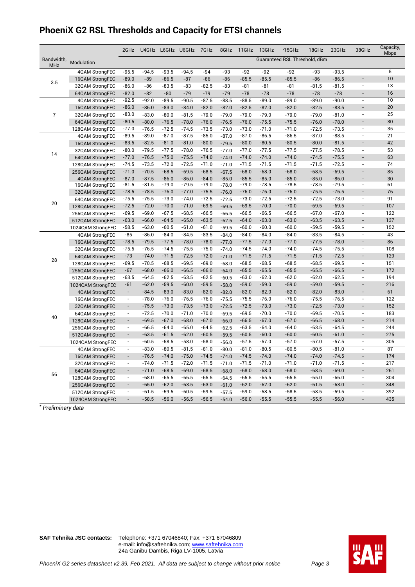# **PhoeniX G2 RSL Thresholds and Capacity for ETSI channels**

|                          |                   | 2GHz                     |         |         | U4GHz L6GHz U6GHz | 7GHz    | 8GHz    | 11GHz   | 13GHz   | $*15GHz$                      | 18GHz   | 23GHz   | 38GHz                    | Capacity,<br><b>Mbps</b> |
|--------------------------|-------------------|--------------------------|---------|---------|-------------------|---------|---------|---------|---------|-------------------------------|---------|---------|--------------------------|--------------------------|
| Bandwidth,<br><b>MHz</b> | Modulation        |                          |         |         |                   |         |         |         |         | Guaranteed RSL Threshold, dBm |         |         |                          |                          |
|                          | 4QAM StrongFEC    | $-95.5$                  | $-94.5$ | $-93.5$ | $-94.5$           | $-94$   | -93     | $-92$   | $-92$   | $-92$                         | -93     | $-93.5$ |                          | $\overline{5}$           |
| 3.5                      | 16QAM StrongFEC   | $-89.0$                  | $-89$   | $-86.5$ | $-87$             | $-86$   | $-86$   | $-85.5$ | $-85.5$ | $-85.5$                       | $-86$   | $-86.5$ |                          | 10                       |
|                          | 32QAM StrongFEC   | $-86.0$                  | $-86$   | $-83.5$ | $-83$             | $-82.5$ | $-83$   | $-81$   | -81     | $-81$                         | $-81.5$ | $-81.5$ | $\overline{a}$           | 13                       |
|                          | 64QAM StrongFEC   | $-82.0$                  | $-82$   | $-80$   | $-79$             | $-79$   | $-79$   | $-78$   | $-78$   | $-78$                         | $-78$   | $-78$   | $\overline{\phantom{a}}$ | 16                       |
|                          | 4QAM StrongFEC    | $-92.5$                  | $-92.0$ | $-89.5$ | $-90.5$           | $-87.5$ | $-88.5$ | $-88.5$ | $-89.0$ | $-89.0$                       | $-89.0$ | $-90.0$ | $\overline{\phantom{a}}$ | 10                       |
|                          | 16QAM StrongFEC   | $-86.0$                  | $-86.0$ | $-83.0$ | $-84.0$           | $-82.0$ | $-82.0$ | $-82.5$ | $-82.0$ | $-82.0$                       | $-82.5$ | $-83.5$ | $\overline{\phantom{a}}$ | 20                       |
| $\overline{7}$           | 32QAM StrongFEC   | $-83.0$                  | $-83.0$ | $-80.0$ | $-81.5$           | $-79.0$ | $-79.0$ | $-79.0$ | $-79.0$ | $-79.0$                       | $-79.0$ | $-81.0$ | $\overline{\phantom{a}}$ | 25                       |
|                          | 64QAM StrongFEC   | $-80.5$                  | $-80.0$ | $-76.5$ | $-78.0$           | $-76.0$ | $-76.5$ | $-76.0$ | $-75.5$ | $-75.5$                       | $-76.0$ | $-78.0$ | $\overline{\phantom{a}}$ | 30                       |
|                          | 128QAM StrongFEC  | $-77.0$                  | $-76.5$ | $-72.5$ | $-74.5$           | $-73.5$ | $-73.0$ | $-73.0$ | $-71.0$ | $-71.0$                       | $-72.5$ | $-73.5$ | $\overline{\phantom{a}}$ | 35                       |
|                          | 4QAM StrongFEC    | $-89.5$                  | $-89.0$ | $-87.0$ | $-87.5$           | $-85.0$ | $-87.0$ | $-87.0$ | $-86.5$ | $-86.5$                       | $-87.0$ | $-88.5$ | $\frac{1}{2}$            | 21                       |
|                          | 16QAM StrongFEC   | $-83.5$                  | $-82.5$ | $-81.0$ | $-81.0$           | $-80.0$ | $-79.5$ | $-80.0$ | $-80.5$ | $-80.5$                       | $-80.0$ | $-81.5$ | $\overline{\phantom{a}}$ | 42                       |
|                          | 32QAM StrongFEC   | $-80.0$                  | $-79.5$ | $-77.5$ | $-78.0$           | $-76.5$ | $-77.0$ | $-77.0$ | $-77.5$ | $-77.5$                       | $-77.5$ | $-78.5$ | $\overline{\phantom{a}}$ | 53                       |
| 14                       | 64QAM StrongFEC   | $-77.0$                  | $-76.5$ | $-75.0$ | $-75.5$           | $-74.0$ | $-74.0$ | $-74.0$ | $-74.0$ | $-74.0$                       | $-74.5$ | $-75.5$ | $\overline{\phantom{a}}$ | 63                       |
|                          | 128QAM StrongFEC  | $-74.5$                  | $-73.5$ | $-72.0$ | $-72.5$           | $-71.0$ | $-71.0$ | $-71.5$ | $-71.5$ | $-71.5$                       | $-71.5$ | $-72.5$ | $\overline{\phantom{a}}$ | 74                       |
|                          | 256QAM StrongFEC  | $-71.0$                  | $-70.5$ | $-68.5$ | $-69.5$           | $-68.5$ | $-67.5$ | $-68.0$ | $-68.0$ | $-68.0$                       | $-68.5$ | $-69.5$ |                          | 85                       |
|                          | 4QAM StrongFEC    | $-87.0$                  | $-87.5$ | $-86.0$ | $-86.0$           | $-84.0$ | $-85.0$ | $-85.5$ | $-85.0$ | $-85.0$                       | $-85.0$ | $-86.0$ |                          | 30                       |
|                          | 16QAM StrongFEC   | $-81.5$                  | $-81.5$ | $-79.0$ | $-79.5$           | $-79.0$ | $-78.0$ | $-79.0$ | $-78.5$ | $-78.5$                       | $-78.5$ | $-79.5$ | $\overline{\phantom{a}}$ | 61                       |
|                          | 32QAM StrongFEC   | $-78.5$                  | $-78.5$ | $-76.0$ | $-77.0$           | $-75.5$ | $-76.0$ | $-76.0$ | $-76.0$ | $-76.0$                       | $-75.5$ | $-76.5$ | $\overline{\phantom{a}}$ | 76                       |
|                          | 64QAM StrongFEC   | $-75.5$                  | $-75.5$ | $-73.0$ | $-74.0$           | $-72.5$ | $-72.5$ | $-73.0$ | $-72.5$ | $-72.5$                       | $-72.5$ | $-73.0$ | $\overline{a}$           | 91                       |
| 20                       | 128QAM StrongFEC  | $-72.5$                  | $-72.0$ | $-70.0$ | $-71.0$           | $-69.5$ | $-69.5$ | $-69.5$ | $-70.0$ | $-70.0$                       | $-69.5$ | $-69.5$ | $\overline{\phantom{a}}$ | 107                      |
|                          | 256QAM StrongFEC  | $-69.5$                  | $-69.0$ | $-67.5$ | $-68.5$           | $-66.5$ | $-66.5$ | $-66.5$ | $-66.5$ | $-66.5$                       | $-67.0$ | $-67.0$ | $\overline{a}$           | 122                      |
|                          | 512QAM StrongFEC  | $-63.0$                  | $-66.0$ | $-64.5$ | $-65.0$           | $-63.5$ | $-62.5$ | $-64.0$ | $-63.0$ | $-63.0$                       | $-63.5$ | $-63.5$ | $\overline{\phantom{a}}$ | 137                      |
|                          | 1024QAM StrongFEC | $-58.5$                  | $-63.0$ | $-60.5$ | $-61.0$           | $-61.0$ | $-59.5$ | $-60.0$ | $-60.0$ | $-60.0$                       | $-59.5$ | $-59.5$ | $\overline{\phantom{a}}$ | 152                      |
|                          | 4QAM StrongFEC    | $-85$                    | $-86.0$ | $-84.0$ | $-84.5$           | $-83.5$ | $-84.0$ | $-84.0$ | $-84.0$ | $-84.0$                       | $-83.5$ | $-84.5$ | $\overline{\phantom{a}}$ | 43                       |
|                          | 16QAM StrongFEC   | $-78.5$                  | $-79.5$ | $-77.5$ | $-78.0$           | $-78.0$ | $-77.0$ | $-77.5$ | $-77.0$ | $-77.0$                       | $-77.5$ | $-78.0$ | $\overline{\phantom{a}}$ | 86                       |
|                          | 32QAM StrongFEC   | $-75.5$                  | $-76.5$ | $-74.5$ | $-75.5$           | $-75.0$ | $-74.0$ | $-74.5$ | $-74.0$ | $-74.0$                       | $-74.5$ | $-75.5$ | $\overline{\phantom{a}}$ | 108                      |
|                          | 64QAM StrongFEC   | $-73$                    | $-74.0$ | $-71.5$ | $-72.5$           | $-72.0$ | $-71.0$ | $-71.5$ | $-71.5$ | $-71.5$                       | $-71.5$ | $-72.5$ |                          | 129                      |
| 28                       | 128QAM StrongFEC  | $-69.5$                  | $-70.5$ | $-68.5$ | $-69.5$           | $-69.0$ | $-68.0$ | $-68.5$ | $-68.5$ | $-68.5$                       | $-68.5$ | $-69.5$ | $\overline{\phantom{a}}$ | 151                      |
|                          | 256QAM StrongFEC  | $-67$                    | $-68.0$ | $-66.0$ | $-66.5$           | $-66.0$ | $-64.0$ | $-65.5$ | $-65.5$ | $-65.5$                       | $-65.5$ | $-66.5$ | $\overline{a}$           | 172                      |
|                          | 512QAM StrongFEC  | $-63.5$                  | $-64.5$ | $-62.5$ | $-63.5$           | $-62.5$ | $-60.5$ | $-63.0$ | $-62.0$ | $-62.0$                       | $-62.0$ | $-62.5$ | $\overline{\phantom{a}}$ | 194                      |
|                          | 1024QAM StrongFEC | $-61$                    | $-62.0$ | $-59.5$ | $-60.0$           | $-59.5$ | $-58.0$ | $-59.0$ | $-59.0$ | $-59.0$                       | $-59.0$ | $-59.5$ | $\overline{a}$           | 216                      |
|                          | 4QAM StrongFEC    | $\overline{\phantom{a}}$ | $-84.5$ | $-83.0$ | $-83.0$           | $-82.0$ | $-82.0$ | $-82.0$ | $-82.0$ | $-82.0$                       | $-82.0$ | $-83.0$ | $\overline{\phantom{a}}$ | 61                       |
|                          | 16QAM StrongFEC   | $\overline{\phantom{a}}$ | $-78.0$ | $-76.0$ | $-76.5$           | $-76.0$ | $-75.5$ | $-75.5$ | $-76.0$ | $-76.0$                       | $-75.5$ | $-76.5$ | $\overline{\phantom{a}}$ | 122                      |
|                          | 32QAM StrongFEC   | $\overline{a}$           | $-75.5$ | $-73.0$ | $-73.5$           | $-73.0$ | $-72.5$ | $-72.5$ | $-73.0$ | $-73.0$                       | $-72.5$ | $-73.0$ |                          | 152                      |
|                          | 64QAM StrongFEC   | $\overline{\phantom{a}}$ | $-72.5$ | $-70.0$ | $-71.0$           | $-70.0$ | $-69.5$ | $-69.5$ | $-70.0$ | $-70.0$                       | $-69.5$ | $-70.5$ | $\overline{\phantom{a}}$ | 183                      |
| 40                       | 128QAM StrongFEC  | $\overline{a}$           | $-69.5$ | $-67.0$ | $-68.0$           | $-67.0$ | $-66.0$ | $-66.5$ | $-67.0$ | $-67.0$                       | $-66.5$ | $-68.0$ |                          | 214                      |
|                          | 256QAM StrongFEC  | $\overline{\phantom{a}}$ | $-66.5$ | $-64.0$ | $-65.0$           | $-64.5$ | $-62.5$ | $-63.5$ | $-64.0$ | $-64.0$                       | $-63.5$ | $-64.5$ | $\overline{\phantom{a}}$ | 244                      |
|                          | 512QAM StrongFEC  |                          | $-63.5$ | $-61.5$ | $-62.0$           | $-60.5$ | $-59.5$ | $-60.5$ | $-60.0$ | $-60.0$                       | $-60.5$ | $-61.0$ |                          | 275                      |
|                          | 1024QAM StrongFEC | $\overline{\phantom{a}}$ | $-60.5$ | $-58.5$ | $-58.0$           | $-58.0$ | $-56.0$ | $-57.5$ | $-57.0$ | $-57.0$                       | $-57.0$ | $-57.5$ | $\overline{\phantom{a}}$ | 305                      |
|                          | 4QAM StrongFEC    | $\overline{\phantom{a}}$ | $-83.0$ | $-80.5$ | $-81.5$           | $-81.0$ | $-80.0$ | $-81.0$ | $-80.5$ | $-80.5$                       | $-80.5$ | $-81.0$ | $\overline{\phantom{a}}$ | 87                       |
|                          | 16QAM StrongFEC   | $\overline{\phantom{a}}$ | $-76.5$ | $-74.0$ | $-75.0$           | $-74.5$ | $-74.0$ | $-74.5$ | $-74.0$ | $-74.0$                       | $-74.0$ | $-74.5$ | $\overline{a}$           | 174                      |
|                          | 32QAM StrongFEC   | $\overline{\phantom{a}}$ | $-74.0$ | $-71.5$ | $-72.0$           | $-71.5$ | $-71.0$ | $-71.5$ | $-71.0$ | $-71.0$                       | $-71.0$ | $-71.5$ | $\overline{a}$           | 217                      |
|                          | 64QAM StrongFEC   | $\overline{\phantom{a}}$ | $-71.0$ | $-68.5$ | $-69.0$           | $-68.5$ | $-68.0$ | $-68.0$ | $-68.0$ | $-68.0$                       | $-68.5$ | $-69.0$ | $\overline{a}$           | 261                      |
| 56                       | 128QAM StrongFEC  | $\overline{\phantom{a}}$ | $-68.0$ | $-65.5$ | $-66.5$           | $-65.5$ | $-64.5$ | $-65.5$ | $-65.5$ | $-65.5$                       | $-65.0$ | $-66.0$ | $\overline{\phantom{a}}$ | 304                      |
|                          | 256QAM StrongFEC  | $\overline{\phantom{a}}$ | $-65.0$ | $-62.0$ | $-63.5$           | $-63.0$ | $-61.0$ | $-62.0$ | $-62.0$ | $-62.0$                       | $-61.5$ | $-63.0$ | $\overline{a}$           | 348                      |
|                          | 512QAM StrongFEC  | $\overline{\phantom{a}}$ | $-61.5$ | $-59.5$ | $-60.5$           | $-59.5$ | $-57.5$ | $-59.0$ | $-58.5$ | $-58.5$                       | $-58.5$ | $-59.5$ | $\overline{a}$           | 392                      |
|                          | 1024QAM StrongFEC | $\overline{\phantom{a}}$ | $-58.5$ | $-56.0$ | $-56.5$           | $-56.5$ | $-54.0$ | $-56.0$ | $-55.5$ | $-55.5$                       | $-55.5$ | $-56.0$ | $\overline{\phantom{a}}$ | 435                      |
|                          |                   |                          |         |         |                   |         |         |         |         |                               |         |         |                          |                          |

*\* Preliminary data*

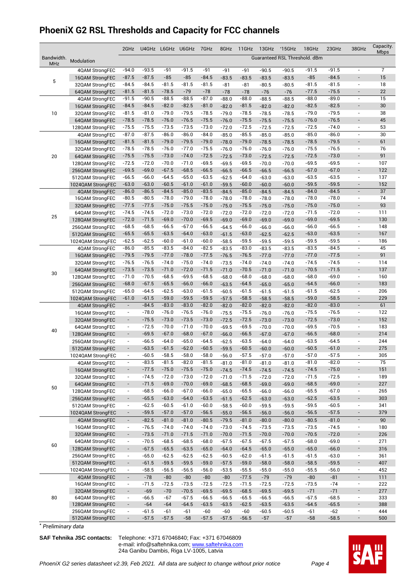# **PhoeniX G2 RSL Thresholds and Capacity for FCC channels**

| Guaranteed RSL Threshold. dBm<br>Bandwidth.<br>Modulation<br><b>MHz</b><br>$-91$<br>$-91$<br>$-91.5$<br>$-94.0$<br>$-93.5$<br>$-91.5$<br>$-91.5$<br>7<br>$-91$<br>$-91$<br>$-90.5$<br>4QAM StrongFEC<br>$-90.5$<br>$\overline{\phantom{m}}$<br>$-87.5$<br>$-87.5$<br>$-85$<br>$-85$<br>$-84.5$<br>$-83.5$<br>$-85$<br>$-84.5$<br>15<br>$-83.5$<br>$-83.5$<br>$-83.5$<br>16QAM StrongFEC<br>$\overline{\phantom{a}}$<br>5<br>$-81.5$<br>$-81.5$<br>$-81.5$<br>$-84.5$<br>$-84.5$<br>$-81.5$<br>$-81.5$<br>18<br>$-81$<br>$-81$<br>$-80.5$<br>$-80.5$<br>32QAM StrongFEC<br>$\overline{\phantom{m}}$<br>$-81.5$<br>$-78.5$<br>$-79$<br>$-78$<br>$-75.5$<br>22<br>$-81.5$<br>$-78$<br>$-78$<br>$-77.5$<br>64QAM StrongFEC<br>$-76$<br>$-76$<br>$\overline{\phantom{a}}$<br>$-90.5$<br>$-88.5$<br>$-88.5$<br>$-87.0$<br>$-88.0$<br>$-88.0$<br>$-88.0$<br>15<br>$-91.5$<br>$-88.5$<br>$-89.0$<br>4QAM StrongFEC<br>$-88.5$<br>$\overline{\phantom{a}}$<br>$-82.5$<br>$-84.5$<br>$-84.5$<br>$-82.0$<br>$-81.0$<br>$-81.5$<br>$-82.5$<br>$-82.5$<br>30<br>$-82.0$<br>$-82.0$<br>$\frac{1}{2}$<br>16QAM StrongFEC<br>$-82.0$<br>$-79.0$<br>$-79.5$<br>$-78.5$<br>$-78.5$<br>$-79.0$<br>$-81.5$<br>$-81.0$<br>$-79.0$<br>$-79.5$<br>38<br>10<br>$-78.5$<br>$-78.5$<br>$\overline{\phantom{a}}$<br>32QAM StrongFEC<br>$-76.5$<br>$-75.5$<br>$-78.5$<br>$-78.5$<br>$-76.0$<br>$-75.5$<br>$-76.0$<br>$-76.5$<br>45<br>$-76.0$<br>$-75.5$<br>$-75.5$<br>64QAM StrongFEC<br>$\overline{\phantom{a}}$<br>$-75.5$<br>$-75.5$<br>$-73.5$<br>$-73.5$<br>$-73.0$<br>$-72.5$<br>$-72.5$<br>$-74.0$<br>53<br>$-72.0$<br>$-72.5$<br>128QAM StrongFEC<br>$-72.5$<br>$\overline{\phantom{a}}$<br>$-86.0$<br>30<br>$-87.5$<br>$-86.0$<br>$-84.0$<br>$-85.5$<br>$-85.0$<br>$-86.0$<br>$-87.0$<br>$-85.0$<br>$-85.0$<br>$-85.0$<br>$\overline{\phantom{a}}$<br>4QAM StrongFEC<br>$-81.5$<br>$-79.0$<br>$-79.5$<br>$-79.0$<br>$-79.0$<br>$-78.5$<br>$-79.5$<br>61<br>$-81.5$<br>$-78.0$<br>$-78.5$<br>16QAM StrongFEC<br>$-78.5$<br>$\overline{\phantom{m}}$<br>$-76.0$<br>$-77.0$<br>$-75.5$<br>$-76.0$<br>$-76.5$<br>$-78.5$<br>$-78.5$<br>$-76.0$<br>$-75.5$<br>76<br>$-76.0$<br>32QAM StrongFEC<br>$-76.0$<br>$\overline{\phantom{a}}$<br>$-72.5$<br>$-75.5$<br>$-75.5$<br>$-73.0$<br>$-74.0$<br>$-73.0$<br>$-72.5$<br>$-73.0$<br>91<br>20<br>$-72.5$<br>$-72.5$<br>$-72.5$<br>$\blacksquare$<br>64QAM StrongFEC<br>$-70.0$<br>$-71.0$<br>$-69.5$<br>$-69.5$<br>$-69.5$<br>$-69.5$<br>107<br>$-72.5$<br>$-72.0$<br>$-69.5$<br>$-70.0$<br>$-70.0$<br>$\overline{\phantom{a}}$<br>128QAM StrongFEC<br>$-67.5$<br>$-68.5$<br>$-66.5$<br>$-69.5$<br>$-69.0$<br>$-66.5$<br>$-67.0$<br>$-67.0$<br>122<br>$-66.5$<br>$-66.5$<br>256QAM StrongFEC<br>$-66.5$<br>$\overline{\phantom{a}}$<br>$-64.5$<br>$-65.0$<br>$-64.0$<br>$-66.5$<br>$-66.0$<br>$-63.5$<br>$-63.5$<br>$-63.5$<br>$-62.5$<br>$-63.0$<br>$-63.0$<br>137<br>512QAM StrongFEC<br>$\overline{\phantom{a}}$<br>$-60.0$<br>$-59.5$<br>$-63.0$<br>$-63.0$<br>$-60.5$<br>$-61.0$<br>$-61.0$<br>$-59.5$<br>152<br>$-59.5$<br>$-60.0$<br>$-60.0$<br>$\overline{\phantom{m}}$<br>1024QAM StrongFEC<br>$-86.5$<br>$-84.5$<br>$-85.0$<br>$-83.5$<br>$-85.0$<br>$-84.0$<br>$-84.5$<br>37<br>$-86.0$<br>$-84.5$<br>$-84.5$<br>$-84.5$<br>$\frac{1}{2}$<br>4QAM StrongFEC<br>$-80.5$<br>$-80.5$<br>$-78.0$<br>$-79.0$<br>$-78.0$<br>$-78.0$<br>$-78.0$<br>$-78.0$<br>74<br>$-78.0$<br>$-78.0$<br>16QAM StrongFEC<br>$-78.0$<br>$\overline{\phantom{a}}$<br>$-75.5$<br>$-75.0$<br>$-75.5$<br>$-75.0$<br>93<br>$-77.5$<br>$-77.5$<br>$-75.0$<br>$-75.0$<br>$-75.0$<br>32QAM StrongFEC<br>$-75.0$<br>$-75.0$<br>$\overline{\phantom{a}}$<br>$-73.0$<br>$-74.5$<br>$-72.0$<br>$-72.0$<br>$-72.0$<br>$-71.5$<br>$-72.0$<br>111<br>$-74.5$<br>$-72.0$<br>$-72.0$<br>$-72.0$<br>$\overline{\phantom{a}}$<br>64QAM StrongFEC<br>25<br>$-71.5$<br>$-69.0$<br>$-70.0$<br>$-69.5$<br>$-69.0$<br>$-69.0$<br>$-69.0$<br>$-69.5$<br>130<br>$-72.0$<br>$-69.0$<br>$-69.0$<br>128QAM StrongFEC<br>$\overline{a}$<br>$-66.5$<br>$-67.0$<br>$-66.5$<br>$-66.0$<br>$-66.0$<br>$-68.5$<br>$-68.5$<br>$-66.5$<br>148<br>$-64.5$<br>$-66.0$<br>256QAM StrongFEC<br>$-66.0$<br>$\overline{\phantom{a}}$<br>$-64.0$<br>$-65.5$<br>$-65.5$<br>$-63.5$<br>$-63.0$<br>$-61.5$<br>$-63.0$<br>$-63.0$<br>$-63.5$<br>167<br>$-62.5$<br>$-62.5$<br>512QAM StrongFEC<br>$\overline{\phantom{m}}$<br>$-62.5$<br>$-62.5$<br>$-60.0$<br>$-61.0$<br>$-60.0$<br>$-59.5$<br>$-59.5$<br>$-59.5$<br>186<br>$-58.5$<br>$-59.5$<br>1024QAM StrongFEC<br>$-59.5$<br>$\overline{\phantom{a}}$<br>$-85.5$<br>$-83.5$<br>$-84.0$<br>$-82.5$<br>$-83.0$<br>$-83.5$<br>$-84.5$<br>45<br>$-86.0$<br>$-83.5$<br>$-83.5$<br>$-83.5$<br>$\overline{\phantom{a}}$<br>4QAM StrongFEC<br>$-77.0$<br>$-78.0$<br>$-77.5$<br>$-76.5$<br>$-77.0$<br>$-77.5$<br>91<br>$-79.5$<br>$-79.5$<br>$-76.5$<br>$-77.0$<br>$-77.0$<br>16QAM StrongFEC<br>$\overline{\phantom{a}}$<br>$-74.0$<br>$-75.0$<br>$-74.0$<br>$-76.5$<br>$-76.5$<br>$-74.0$<br>$-74.5$<br>$-74.5$<br>114<br>$-73.5$<br>$-74.0$<br>32QAM StrongFEC<br>$-74.0$<br>$\overline{\phantom{a}}$<br>$-73.5$<br>$-71.0$<br>$-72.0$<br>$-71.5$<br>$-73.5$<br>$-71.0$<br>$-70.5$<br>$-71.0$<br>$-70.5$<br>$-71.5$<br>137<br>$-71.0$<br>$\overline{a}$<br>64QAM StrongFEC<br>30<br>$-70.5$<br>$-68.5$<br>$-69.5$<br>$-68.5$<br>$-68.0$<br>$-68.0$<br>$-71.0$<br>$-68.0$<br>$-68.0$<br>$-68.0$<br>$-69.0$<br>160<br>128QAM StrongFEC<br>$\overline{\phantom{a}}$<br>$-66.0$<br>$-66.0$<br>$-67.5$<br>$-65.5$<br>$-63.5$<br>$-64.5$<br>$-64.5$<br>$-66.0$<br>183<br>$-68.0$<br>$-65.0$<br>$-65.0$<br>256QAM StrongFEC<br>$\overline{\phantom{m}}$<br>$-63.0$<br>$-65.0$<br>$-64.5$<br>$-62.5$<br>$-61.5$<br>$-61.5$<br>$-61.5$<br>$-62.5$<br>206<br>$-60.5$<br>$-61.5$<br>512QAM StrongFEC<br>$-61.5$<br>$\overline{\phantom{a}}$<br>$-61.5$<br>$-59.0$<br>$-59.5$<br>$-59.5$<br>$-57.5$<br>$-58.5$<br>$-59.0$<br>$-58.5$<br>229<br>$-61.0$<br>$-58.5$<br>$-58.5$<br>1024QAM StrongFEC<br>$\overline{\phantom{m}}$<br>$-83.0$<br>$-82.0$<br>$-84.5$<br>$-83.0$<br>$-82.0$<br>$-82.0$<br>$-83.0$<br>61<br>$\overline{\phantom{a}}$<br>$-82.0$<br>$-82.0$<br>$\frac{1}{2}$<br>$-82.0$<br>4QAM StrongFEC<br>$-76.5$<br>$-76.0$<br>$-78.0$<br>$-76.0$<br>$-75.5$<br>$-75.5$<br>$-76.5$<br>122<br>$-75.5$<br>$-76.0$<br>$\overline{\phantom{a}}$<br>$-76.0$<br>$\overline{\phantom{a}}$<br>16QAM StrongFEC<br>$-73.5$<br>$-75.5$<br>$-73.0$<br>$-73.0$<br>$-72.5$<br>$-72.5$<br>$-72.5$<br>$-73.0$<br>$\frac{1}{2}$<br>152<br>$\overline{\phantom{a}}$<br>$-73.0$<br>$-73.0$<br>32QAM StrongFEC<br>$-72.5$<br>$-70.0$<br>$-71.0$<br>$-70.0$<br>$-69.5$<br>$-69.5$<br>$-70.5$<br>183<br>$-69.5$<br>$-70.0$<br>64QAM StrongFEC<br>$\overline{\phantom{a}}$<br>$-70.0$<br>$\overline{\phantom{a}}$<br>40<br>$-69.5$<br>$-67.0$<br>$-68.0$<br>$-67.0$<br>$-66.5$<br>$-66.5$<br>$-68.0$<br>214<br>$-66.0$<br>$-67.0$<br>128QAM StrongFEC<br>$-67.0$<br>$\overline{\phantom{m}}$<br>$\overline{\phantom{a}}$<br>$-65.0$<br>$-63.5$<br>$-66.5$<br>$-64.0$<br>$-64.5$<br>$-62.5$<br>$-63.5$<br>$-64.5$<br>244<br>$-64.0$<br>256QAM StrongFEC<br>$\overline{\phantom{a}}$<br>$-64.0$<br>$\overline{a}$<br>$-62.0$<br>$-60.5$<br>$-63.5$<br>$-61.5$<br>$-60.5$<br>$-60.5$<br>$-61.0$<br>275<br>$\overline{\phantom{a}}$<br>$-59.5$<br>$\frac{1}{2}$<br>$-60.0$<br>$-60.0$<br>512QAM StrongFEC<br>$-60.5$<br>$-58.5$<br>$-58.0$<br>$-58.0$<br>$-57.5$<br>$-57.0$<br>$-57.5$<br>305<br>$-56.0$<br>1024QAM StrongFEC<br>$-57.0$<br>$-57.0$<br>$\overline{\phantom{0}}$<br>$-83.5$<br>$-81.5$<br>$-82.0$<br>$-81.5$<br>$-81.0$<br>$-82.0$<br>75<br>$-81.0$<br>$-81.0$<br>-81.0<br>$\overline{\phantom{a}}$<br>4QAM StrongFEC<br>$\overline{\phantom{a}}$<br>$-81.0$<br>$-75.5$<br>$-75.0$<br>$-77.5$<br>$-75.0$<br>$-74.5$<br>$-74.5$<br>$-74.5$<br>$-75.0$<br>$\overline{\phantom{a}}$<br>151<br>16QAM StrongFEC<br>$\overline{\phantom{a}}$<br>$-74.5$<br>$-74.5$<br>$-73.0$<br>$-72.0$<br>$-74.5$<br>$-72.0$<br>$-71.5$<br>$-71.5$<br>$-72.5$<br>189<br>$-71.0$<br>$\overline{\phantom{a}}$<br>32QAM StrongFEC<br>$\overline{\phantom{a}}$<br>$-72.0$<br>$-72.0$<br>$-71.5$<br>$-69.0$<br>$-70.0$<br>$-69.0$<br>$-68.5$<br>$-68.5$<br>$-68.5$<br>$-69.0$<br>227<br>$-69.0$<br>$-69.0$<br>64QAM StrongFEC<br>$\blacksquare$<br>$\overline{\phantom{a}}$<br>50<br>$-67.0$<br>$-66.0$<br>$-68.5$<br>$-66.0$<br>$-65.5$<br>$-65.5$<br>$-67.0$<br>265<br>$-65.0$<br>$-66.0$<br>$\overline{\phantom{a}}$<br>128QAM StrongFEC<br>$\overline{\phantom{a}}$<br>$-66.0$<br>$-65.5$<br>$-63.0$<br>$-64.0$<br>$-63.5$<br>$-62.5$<br>$-62.5$<br>$-63.5$<br>303<br>$\blacksquare$<br>$-61.5$<br>$-63.0$<br>$\overline{\phantom{a}}$<br>256QAM StrongFEC<br>$-63.0$<br>$-60.0$<br>$-62.5$<br>$-60.5$<br>$-61.0$<br>$-60.0$<br>$-59.5$<br>$-60.5$<br>341<br>$-58.5$<br>$-59.5$<br>$\overline{\phantom{a}}$<br>512QAM StrongFEC<br>$\overline{\phantom{a}}$<br>$-59.5$<br>$-59.5$<br>$-57.0$<br>$-57.0$<br>$-56.5$<br>$-56.5$<br>$-56.5$<br>$-57.5$<br>379<br>1024QAM StrongFEC<br>$\overline{\phantom{a}}$<br>$-55.0$<br>$-56.0$<br>$-56.0$<br>$\overline{\phantom{a}}$<br>$-80.5$<br>$-79.5$<br>$-81.0$<br>$-80.5$<br>$\blacksquare$<br>4QAM StrongFEC<br>$\overline{\phantom{a}}$<br>$-82.5$<br>$-81.0$<br>$-81.0$<br>$-80.0$<br>$-80.0$<br>$-81.0$<br>90<br>$-74.0$<br>$-74.0$<br>$-73.0$<br>16QAM StrongFEC<br>$-76.5$<br>$-74.0$<br>$-74.5$<br>$-73.5$<br>$-73.5$<br>$-73.5$<br>$-74.5$<br>$\overline{\phantom{a}}$<br>180<br>$\overline{\phantom{a}}$<br>$-71.5$<br>$-70.0$<br>$-71.5$<br>32QAM StrongFEC<br>$-73.5$<br>$-71.0$<br>$-71.0$<br>$-70.0$<br>$-70.0$<br>$-70.5$<br>$-72.0$<br>$\overline{\phantom{a}}$<br>226<br>$\overline{\phantom{a}}$<br>64QAM StrongFEC<br>$-70.5$<br>$-68.5$<br>$-68.5$<br>$-68.0$<br>$-67.5$<br>$-67.5$<br>$-67.5$<br>$-67.5$<br>$-68.0$<br>$-69.0$<br>$\overline{\phantom{a}}$<br>271<br>$\overline{\phantom{a}}$<br>60<br>$-65.5$<br>$-63.5$<br>$-65.0$<br>$-64.0$<br>$-64.5$<br>$-65.0$<br>$-65.0$<br>$\overline{\phantom{a}}$<br>128QAM StrongFEC<br>$-67.5$<br>$-65.0$<br>$-66.0$<br>316<br>$\overline{\phantom{a}}$<br>$-62.5$<br>$-60.5$<br>$-62.0$<br>256QAM StrongFEC<br>$-65.0$<br>$-62.5$<br>$-62.5$<br>$-61.5$<br>$-61.5$<br>$-61.5$<br>$-63.0$<br>$\overline{\phantom{a}}$<br>361<br>$\overline{\phantom{a}}$<br>512QAM StrongFEC<br>$-59.5$<br>$-59.5$<br>$-59.0$<br>$-57.5$<br>$-59.0$<br>$-58.0$<br>$-58.0$<br>$-58.5$<br>$-59.5$<br>407<br>$-61.5$<br>$\overline{\phantom{a}}$<br>$\overline{\phantom{a}}$<br>1024QAM StrongFEC<br>$-58.5$<br>$-56.5$<br>$-56.5$<br>$-56.0$<br>$-53.5$<br>$-55.5$<br>$-55.0$<br>$-55.0$<br>$-55.5$<br>$-56.0$<br>452<br>$\overline{\phantom{a}}$<br>$\overline{\phantom{0}}$<br>$-78$<br>$-80$<br>$-80$<br>$-80$<br>$-77.5$<br>$\blacksquare$<br>4QAM StrongFEC<br>$-80$<br>$-79$<br>$-79$<br>$-80$<br>$-81$<br>111<br>$\overline{\phantom{a}}$<br>16QAM StrongFEC<br>$-72.5$<br>$-73.5$<br>$-72.5$<br>$-72.5$<br>$-71.5$<br>$-72.5$<br>$-72.5$<br>$-73.5$<br>$-74$<br>222<br>$-71.5$<br>$\overline{\phantom{a}}$<br>$\overline{\phantom{a}}$<br>$-71$<br>$\blacksquare$<br>32QAM StrongFEC<br>$\blacksquare$<br>$-69$<br>$-70$<br>$-70.5$<br>$-69.5$<br>$-69.5$<br>$-68.5$<br>$-69.5$<br>$-69.5$<br>$-71$<br>277<br>80<br>$-66.5$<br>$-66.5$<br>$-65.5$<br>64QAM StrongFEC<br>$-67$<br>$-67.5$<br>$-66.5$<br>$-66.5$<br>$-66.5$<br>$-67.5$<br>$-68.5$<br>$\overline{\phantom{a}}$<br>333<br>$\overline{\phantom{a}}$<br>128QAM StrongFEC<br>$-64$<br>$-64$<br>$-64.5$<br>$-63.5$<br>$-63.5$<br>$-62.5$<br>$-63.5$<br>$-63.5$<br>$-64.5$<br>$-65.5$<br>$\overline{\phantom{a}}$<br>388<br>$\overline{\phantom{a}}$ |  |                  | 2GHz                     |         | U4GHz L6GHz U6GHz |       | 7GHz  | 8GHz  | 11GHz | 13GHz   | $*15GHz$ | 18GHz | 23GHz | 38GHz                    | Capacity.<br><b>Mbps</b> |
|-------------------------------------------------------------------------------------------------------------------------------------------------------------------------------------------------------------------------------------------------------------------------------------------------------------------------------------------------------------------------------------------------------------------------------------------------------------------------------------------------------------------------------------------------------------------------------------------------------------------------------------------------------------------------------------------------------------------------------------------------------------------------------------------------------------------------------------------------------------------------------------------------------------------------------------------------------------------------------------------------------------------------------------------------------------------------------------------------------------------------------------------------------------------------------------------------------------------------------------------------------------------------------------------------------------------------------------------------------------------------------------------------------------------------------------------------------------------------------------------------------------------------------------------------------------------------------------------------------------------------------------------------------------------------------------------------------------------------------------------------------------------------------------------------------------------------------------------------------------------------------------------------------------------------------------------------------------------------------------------------------------------------------------------------------------------------------------------------------------------------------------------------------------------------------------------------------------------------------------------------------------------------------------------------------------------------------------------------------------------------------------------------------------------------------------------------------------------------------------------------------------------------------------------------------------------------------------------------------------------------------------------------------------------------------------------------------------------------------------------------------------------------------------------------------------------------------------------------------------------------------------------------------------------------------------------------------------------------------------------------------------------------------------------------------------------------------------------------------------------------------------------------------------------------------------------------------------------------------------------------------------------------------------------------------------------------------------------------------------------------------------------------------------------------------------------------------------------------------------------------------------------------------------------------------------------------------------------------------------------------------------------------------------------------------------------------------------------------------------------------------------------------------------------------------------------------------------------------------------------------------------------------------------------------------------------------------------------------------------------------------------------------------------------------------------------------------------------------------------------------------------------------------------------------------------------------------------------------------------------------------------------------------------------------------------------------------------------------------------------------------------------------------------------------------------------------------------------------------------------------------------------------------------------------------------------------------------------------------------------------------------------------------------------------------------------------------------------------------------------------------------------------------------------------------------------------------------------------------------------------------------------------------------------------------------------------------------------------------------------------------------------------------------------------------------------------------------------------------------------------------------------------------------------------------------------------------------------------------------------------------------------------------------------------------------------------------------------------------------------------------------------------------------------------------------------------------------------------------------------------------------------------------------------------------------------------------------------------------------------------------------------------------------------------------------------------------------------------------------------------------------------------------------------------------------------------------------------------------------------------------------------------------------------------------------------------------------------------------------------------------------------------------------------------------------------------------------------------------------------------------------------------------------------------------------------------------------------------------------------------------------------------------------------------------------------------------------------------------------------------------------------------------------------------------------------------------------------------------------------------------------------------------------------------------------------------------------------------------------------------------------------------------------------------------------------------------------------------------------------------------------------------------------------------------------------------------------------------------------------------------------------------------------------------------------------------------------------------------------------------------------------------------------------------------------------------------------------------------------------------------------------------------------------------------------------------------------------------------------------------------------------------------------------------------------------------------------------------------------------------------------------------------------------------------------------------------------------------------------------------------------------------------------------------------------------------------------------------------------------------------------------------------------------------------------------------------------------------------------------------------------------------------------------------------------------------------------------------------------------------------------------------------------------------------------------------------------------------------------------------------------------------------------------------------------------------------------------------------------------------------------------------------------------------------------------------------------------------------------------------------------------------------------------------------------------------------------------------------------------------------------------------------------------------------------------------------------------------------------------------------------------------------------------------------------------------------------------------------------------------------------------------------------------------------------------------------------------------------------------------------------------------------------------------------------------------------------------------------------------------------------------------------------------------------------------------------------------------------------------------------------------------------------------------------------------------------------------------------------------------------------------------------------------------------------------------------------------------------------------------------------------------------------------------------------------------------------------------------------------------------------------------------------------------------------------------------------------------------------------------------------------------------------------------------------------------------------------------------------------------------------------------------------------------------------------------------------------------------------------------------------------------------------------------------------------------------------------------------------------------------------------------------------------------------------------------------------------------------------------------------------------------------------------------------------------------------------------------------------------------------------------------------------------------------------------------------------------------------------------------------------------------------------------------------------------------------------------------------------------------------------------------------------------------------------------------------------------------------------------------------------------------------------------------------------------------------------------------------------------------------------------------------------------------------------------------------------------------------------------------------------------------------------------------------------------------------------------------------------------------------------------------------------------------------------------------------------------------------------------------------------------------------------------------------------------------------------------------------------------------------------------------------------------------------------------------------------------------------------------------------------------------------------------------------------------------------------------------------------------------------------------------------------------------------------------------------------------------------------------------------------------------------------------------------------------------------------------------------------------------------------------------------------------------------------|--|------------------|--------------------------|---------|-------------------|-------|-------|-------|-------|---------|----------|-------|-------|--------------------------|--------------------------|
|                                                                                                                                                                                                                                                                                                                                                                                                                                                                                                                                                                                                                                                                                                                                                                                                                                                                                                                                                                                                                                                                                                                                                                                                                                                                                                                                                                                                                                                                                                                                                                                                                                                                                                                                                                                                                                                                                                                                                                                                                                                                                                                                                                                                                                                                                                                                                                                                                                                                                                                                                                                                                                                                                                                                                                                                                                                                                                                                                                                                                                                                                                                                                                                                                                                                                                                                                                                                                                                                                                                                                                                                                                                                                                                                                                                                                                                                                                                                                                                                                                                                                                                                                                                                                                                                                                                                                                                                                                                                                                                                                                                                                                                                                                                                                                                                                                                                                                                                                                                                                                                                                                                                                                                                                                                                                                                                                                                                                                                                                                                                                                                                                                                                                                                                                                                                                                                                                                                                                                                                                                                                                                                                                                                                                                                                                                                                                                                                                                                                                                                                                                                                                                                                                                                                                                                                                                                                                                                                                                                                                                                                                                                                                                                                                                                                                                                                                                                                                                                                                                                                                                                                                                                                                                                                                                                                                                                                                                                                                                                                                                                                                                                                                                                                                                                                                                                                                                                                                                                                                                                                                                                                                                                                                                                                                                                                                                                                                                                                                                                                                                                                                                                                                                                                                                                                                                                                                                                                                                                                                                                                                                                                                                                                                                                                                                                                                                                                                                                                                                                                                                                                                                                                                                                                                                                                                                                                                                                                                                                                                                                                                                                                                                                                                                                                                                                                                                                                                                                                                                                                                                                                                                                                                                                                                                                                                                                                                                                                                                                                                                                                                                                                                                                                                     |  |                  |                          |         |                   |       |       |       |       |         |          |       |       |                          |                          |
|                                                                                                                                                                                                                                                                                                                                                                                                                                                                                                                                                                                                                                                                                                                                                                                                                                                                                                                                                                                                                                                                                                                                                                                                                                                                                                                                                                                                                                                                                                                                                                                                                                                                                                                                                                                                                                                                                                                                                                                                                                                                                                                                                                                                                                                                                                                                                                                                                                                                                                                                                                                                                                                                                                                                                                                                                                                                                                                                                                                                                                                                                                                                                                                                                                                                                                                                                                                                                                                                                                                                                                                                                                                                                                                                                                                                                                                                                                                                                                                                                                                                                                                                                                                                                                                                                                                                                                                                                                                                                                                                                                                                                                                                                                                                                                                                                                                                                                                                                                                                                                                                                                                                                                                                                                                                                                                                                                                                                                                                                                                                                                                                                                                                                                                                                                                                                                                                                                                                                                                                                                                                                                                                                                                                                                                                                                                                                                                                                                                                                                                                                                                                                                                                                                                                                                                                                                                                                                                                                                                                                                                                                                                                                                                                                                                                                                                                                                                                                                                                                                                                                                                                                                                                                                                                                                                                                                                                                                                                                                                                                                                                                                                                                                                                                                                                                                                                                                                                                                                                                                                                                                                                                                                                                                                                                                                                                                                                                                                                                                                                                                                                                                                                                                                                                                                                                                                                                                                                                                                                                                                                                                                                                                                                                                                                                                                                                                                                                                                                                                                                                                                                                                                                                                                                                                                                                                                                                                                                                                                                                                                                                                                                                                                                                                                                                                                                                                                                                                                                                                                                                                                                                                                                                                                                                                                                                                                                                                                                                                                                                                                                                                                                                                                                                     |  |                  |                          |         |                   |       |       |       |       |         |          |       |       |                          |                          |
|                                                                                                                                                                                                                                                                                                                                                                                                                                                                                                                                                                                                                                                                                                                                                                                                                                                                                                                                                                                                                                                                                                                                                                                                                                                                                                                                                                                                                                                                                                                                                                                                                                                                                                                                                                                                                                                                                                                                                                                                                                                                                                                                                                                                                                                                                                                                                                                                                                                                                                                                                                                                                                                                                                                                                                                                                                                                                                                                                                                                                                                                                                                                                                                                                                                                                                                                                                                                                                                                                                                                                                                                                                                                                                                                                                                                                                                                                                                                                                                                                                                                                                                                                                                                                                                                                                                                                                                                                                                                                                                                                                                                                                                                                                                                                                                                                                                                                                                                                                                                                                                                                                                                                                                                                                                                                                                                                                                                                                                                                                                                                                                                                                                                                                                                                                                                                                                                                                                                                                                                                                                                                                                                                                                                                                                                                                                                                                                                                                                                                                                                                                                                                                                                                                                                                                                                                                                                                                                                                                                                                                                                                                                                                                                                                                                                                                                                                                                                                                                                                                                                                                                                                                                                                                                                                                                                                                                                                                                                                                                                                                                                                                                                                                                                                                                                                                                                                                                                                                                                                                                                                                                                                                                                                                                                                                                                                                                                                                                                                                                                                                                                                                                                                                                                                                                                                                                                                                                                                                                                                                                                                                                                                                                                                                                                                                                                                                                                                                                                                                                                                                                                                                                                                                                                                                                                                                                                                                                                                                                                                                                                                                                                                                                                                                                                                                                                                                                                                                                                                                                                                                                                                                                                                                                                                                                                                                                                                                                                                                                                                                                                                                                                                                                                                     |  |                  |                          |         |                   |       |       |       |       |         |          |       |       |                          |                          |
|                                                                                                                                                                                                                                                                                                                                                                                                                                                                                                                                                                                                                                                                                                                                                                                                                                                                                                                                                                                                                                                                                                                                                                                                                                                                                                                                                                                                                                                                                                                                                                                                                                                                                                                                                                                                                                                                                                                                                                                                                                                                                                                                                                                                                                                                                                                                                                                                                                                                                                                                                                                                                                                                                                                                                                                                                                                                                                                                                                                                                                                                                                                                                                                                                                                                                                                                                                                                                                                                                                                                                                                                                                                                                                                                                                                                                                                                                                                                                                                                                                                                                                                                                                                                                                                                                                                                                                                                                                                                                                                                                                                                                                                                                                                                                                                                                                                                                                                                                                                                                                                                                                                                                                                                                                                                                                                                                                                                                                                                                                                                                                                                                                                                                                                                                                                                                                                                                                                                                                                                                                                                                                                                                                                                                                                                                                                                                                                                                                                                                                                                                                                                                                                                                                                                                                                                                                                                                                                                                                                                                                                                                                                                                                                                                                                                                                                                                                                                                                                                                                                                                                                                                                                                                                                                                                                                                                                                                                                                                                                                                                                                                                                                                                                                                                                                                                                                                                                                                                                                                                                                                                                                                                                                                                                                                                                                                                                                                                                                                                                                                                                                                                                                                                                                                                                                                                                                                                                                                                                                                                                                                                                                                                                                                                                                                                                                                                                                                                                                                                                                                                                                                                                                                                                                                                                                                                                                                                                                                                                                                                                                                                                                                                                                                                                                                                                                                                                                                                                                                                                                                                                                                                                                                                                                                                                                                                                                                                                                                                                                                                                                                                                                                                                                                     |  |                  |                          |         |                   |       |       |       |       |         |          |       |       |                          |                          |
|                                                                                                                                                                                                                                                                                                                                                                                                                                                                                                                                                                                                                                                                                                                                                                                                                                                                                                                                                                                                                                                                                                                                                                                                                                                                                                                                                                                                                                                                                                                                                                                                                                                                                                                                                                                                                                                                                                                                                                                                                                                                                                                                                                                                                                                                                                                                                                                                                                                                                                                                                                                                                                                                                                                                                                                                                                                                                                                                                                                                                                                                                                                                                                                                                                                                                                                                                                                                                                                                                                                                                                                                                                                                                                                                                                                                                                                                                                                                                                                                                                                                                                                                                                                                                                                                                                                                                                                                                                                                                                                                                                                                                                                                                                                                                                                                                                                                                                                                                                                                                                                                                                                                                                                                                                                                                                                                                                                                                                                                                                                                                                                                                                                                                                                                                                                                                                                                                                                                                                                                                                                                                                                                                                                                                                                                                                                                                                                                                                                                                                                                                                                                                                                                                                                                                                                                                                                                                                                                                                                                                                                                                                                                                                                                                                                                                                                                                                                                                                                                                                                                                                                                                                                                                                                                                                                                                                                                                                                                                                                                                                                                                                                                                                                                                                                                                                                                                                                                                                                                                                                                                                                                                                                                                                                                                                                                                                                                                                                                                                                                                                                                                                                                                                                                                                                                                                                                                                                                                                                                                                                                                                                                                                                                                                                                                                                                                                                                                                                                                                                                                                                                                                                                                                                                                                                                                                                                                                                                                                                                                                                                                                                                                                                                                                                                                                                                                                                                                                                                                                                                                                                                                                                                                                                                                                                                                                                                                                                                                                                                                                                                                                                                                                                                                     |  |                  |                          |         |                   |       |       |       |       |         |          |       |       |                          |                          |
|                                                                                                                                                                                                                                                                                                                                                                                                                                                                                                                                                                                                                                                                                                                                                                                                                                                                                                                                                                                                                                                                                                                                                                                                                                                                                                                                                                                                                                                                                                                                                                                                                                                                                                                                                                                                                                                                                                                                                                                                                                                                                                                                                                                                                                                                                                                                                                                                                                                                                                                                                                                                                                                                                                                                                                                                                                                                                                                                                                                                                                                                                                                                                                                                                                                                                                                                                                                                                                                                                                                                                                                                                                                                                                                                                                                                                                                                                                                                                                                                                                                                                                                                                                                                                                                                                                                                                                                                                                                                                                                                                                                                                                                                                                                                                                                                                                                                                                                                                                                                                                                                                                                                                                                                                                                                                                                                                                                                                                                                                                                                                                                                                                                                                                                                                                                                                                                                                                                                                                                                                                                                                                                                                                                                                                                                                                                                                                                                                                                                                                                                                                                                                                                                                                                                                                                                                                                                                                                                                                                                                                                                                                                                                                                                                                                                                                                                                                                                                                                                                                                                                                                                                                                                                                                                                                                                                                                                                                                                                                                                                                                                                                                                                                                                                                                                                                                                                                                                                                                                                                                                                                                                                                                                                                                                                                                                                                                                                                                                                                                                                                                                                                                                                                                                                                                                                                                                                                                                                                                                                                                                                                                                                                                                                                                                                                                                                                                                                                                                                                                                                                                                                                                                                                                                                                                                                                                                                                                                                                                                                                                                                                                                                                                                                                                                                                                                                                                                                                                                                                                                                                                                                                                                                                                                                                                                                                                                                                                                                                                                                                                                                                                                                                                                                     |  |                  |                          |         |                   |       |       |       |       |         |          |       |       |                          |                          |
|                                                                                                                                                                                                                                                                                                                                                                                                                                                                                                                                                                                                                                                                                                                                                                                                                                                                                                                                                                                                                                                                                                                                                                                                                                                                                                                                                                                                                                                                                                                                                                                                                                                                                                                                                                                                                                                                                                                                                                                                                                                                                                                                                                                                                                                                                                                                                                                                                                                                                                                                                                                                                                                                                                                                                                                                                                                                                                                                                                                                                                                                                                                                                                                                                                                                                                                                                                                                                                                                                                                                                                                                                                                                                                                                                                                                                                                                                                                                                                                                                                                                                                                                                                                                                                                                                                                                                                                                                                                                                                                                                                                                                                                                                                                                                                                                                                                                                                                                                                                                                                                                                                                                                                                                                                                                                                                                                                                                                                                                                                                                                                                                                                                                                                                                                                                                                                                                                                                                                                                                                                                                                                                                                                                                                                                                                                                                                                                                                                                                                                                                                                                                                                                                                                                                                                                                                                                                                                                                                                                                                                                                                                                                                                                                                                                                                                                                                                                                                                                                                                                                                                                                                                                                                                                                                                                                                                                                                                                                                                                                                                                                                                                                                                                                                                                                                                                                                                                                                                                                                                                                                                                                                                                                                                                                                                                                                                                                                                                                                                                                                                                                                                                                                                                                                                                                                                                                                                                                                                                                                                                                                                                                                                                                                                                                                                                                                                                                                                                                                                                                                                                                                                                                                                                                                                                                                                                                                                                                                                                                                                                                                                                                                                                                                                                                                                                                                                                                                                                                                                                                                                                                                                                                                                                                                                                                                                                                                                                                                                                                                                                                                                                                                                                                                     |  |                  |                          |         |                   |       |       |       |       |         |          |       |       |                          |                          |
|                                                                                                                                                                                                                                                                                                                                                                                                                                                                                                                                                                                                                                                                                                                                                                                                                                                                                                                                                                                                                                                                                                                                                                                                                                                                                                                                                                                                                                                                                                                                                                                                                                                                                                                                                                                                                                                                                                                                                                                                                                                                                                                                                                                                                                                                                                                                                                                                                                                                                                                                                                                                                                                                                                                                                                                                                                                                                                                                                                                                                                                                                                                                                                                                                                                                                                                                                                                                                                                                                                                                                                                                                                                                                                                                                                                                                                                                                                                                                                                                                                                                                                                                                                                                                                                                                                                                                                                                                                                                                                                                                                                                                                                                                                                                                                                                                                                                                                                                                                                                                                                                                                                                                                                                                                                                                                                                                                                                                                                                                                                                                                                                                                                                                                                                                                                                                                                                                                                                                                                                                                                                                                                                                                                                                                                                                                                                                                                                                                                                                                                                                                                                                                                                                                                                                                                                                                                                                                                                                                                                                                                                                                                                                                                                                                                                                                                                                                                                                                                                                                                                                                                                                                                                                                                                                                                                                                                                                                                                                                                                                                                                                                                                                                                                                                                                                                                                                                                                                                                                                                                                                                                                                                                                                                                                                                                                                                                                                                                                                                                                                                                                                                                                                                                                                                                                                                                                                                                                                                                                                                                                                                                                                                                                                                                                                                                                                                                                                                                                                                                                                                                                                                                                                                                                                                                                                                                                                                                                                                                                                                                                                                                                                                                                                                                                                                                                                                                                                                                                                                                                                                                                                                                                                                                                                                                                                                                                                                                                                                                                                                                                                                                                                                                                                     |  |                  |                          |         |                   |       |       |       |       |         |          |       |       |                          |                          |
|                                                                                                                                                                                                                                                                                                                                                                                                                                                                                                                                                                                                                                                                                                                                                                                                                                                                                                                                                                                                                                                                                                                                                                                                                                                                                                                                                                                                                                                                                                                                                                                                                                                                                                                                                                                                                                                                                                                                                                                                                                                                                                                                                                                                                                                                                                                                                                                                                                                                                                                                                                                                                                                                                                                                                                                                                                                                                                                                                                                                                                                                                                                                                                                                                                                                                                                                                                                                                                                                                                                                                                                                                                                                                                                                                                                                                                                                                                                                                                                                                                                                                                                                                                                                                                                                                                                                                                                                                                                                                                                                                                                                                                                                                                                                                                                                                                                                                                                                                                                                                                                                                                                                                                                                                                                                                                                                                                                                                                                                                                                                                                                                                                                                                                                                                                                                                                                                                                                                                                                                                                                                                                                                                                                                                                                                                                                                                                                                                                                                                                                                                                                                                                                                                                                                                                                                                                                                                                                                                                                                                                                                                                                                                                                                                                                                                                                                                                                                                                                                                                                                                                                                                                                                                                                                                                                                                                                                                                                                                                                                                                                                                                                                                                                                                                                                                                                                                                                                                                                                                                                                                                                                                                                                                                                                                                                                                                                                                                                                                                                                                                                                                                                                                                                                                                                                                                                                                                                                                                                                                                                                                                                                                                                                                                                                                                                                                                                                                                                                                                                                                                                                                                                                                                                                                                                                                                                                                                                                                                                                                                                                                                                                                                                                                                                                                                                                                                                                                                                                                                                                                                                                                                                                                                                                                                                                                                                                                                                                                                                                                                                                                                                                                                                                                     |  |                  |                          |         |                   |       |       |       |       |         |          |       |       |                          |                          |
|                                                                                                                                                                                                                                                                                                                                                                                                                                                                                                                                                                                                                                                                                                                                                                                                                                                                                                                                                                                                                                                                                                                                                                                                                                                                                                                                                                                                                                                                                                                                                                                                                                                                                                                                                                                                                                                                                                                                                                                                                                                                                                                                                                                                                                                                                                                                                                                                                                                                                                                                                                                                                                                                                                                                                                                                                                                                                                                                                                                                                                                                                                                                                                                                                                                                                                                                                                                                                                                                                                                                                                                                                                                                                                                                                                                                                                                                                                                                                                                                                                                                                                                                                                                                                                                                                                                                                                                                                                                                                                                                                                                                                                                                                                                                                                                                                                                                                                                                                                                                                                                                                                                                                                                                                                                                                                                                                                                                                                                                                                                                                                                                                                                                                                                                                                                                                                                                                                                                                                                                                                                                                                                                                                                                                                                                                                                                                                                                                                                                                                                                                                                                                                                                                                                                                                                                                                                                                                                                                                                                                                                                                                                                                                                                                                                                                                                                                                                                                                                                                                                                                                                                                                                                                                                                                                                                                                                                                                                                                                                                                                                                                                                                                                                                                                                                                                                                                                                                                                                                                                                                                                                                                                                                                                                                                                                                                                                                                                                                                                                                                                                                                                                                                                                                                                                                                                                                                                                                                                                                                                                                                                                                                                                                                                                                                                                                                                                                                                                                                                                                                                                                                                                                                                                                                                                                                                                                                                                                                                                                                                                                                                                                                                                                                                                                                                                                                                                                                                                                                                                                                                                                                                                                                                                                                                                                                                                                                                                                                                                                                                                                                                                                                                                                                     |  |                  |                          |         |                   |       |       |       |       |         |          |       |       |                          |                          |
|                                                                                                                                                                                                                                                                                                                                                                                                                                                                                                                                                                                                                                                                                                                                                                                                                                                                                                                                                                                                                                                                                                                                                                                                                                                                                                                                                                                                                                                                                                                                                                                                                                                                                                                                                                                                                                                                                                                                                                                                                                                                                                                                                                                                                                                                                                                                                                                                                                                                                                                                                                                                                                                                                                                                                                                                                                                                                                                                                                                                                                                                                                                                                                                                                                                                                                                                                                                                                                                                                                                                                                                                                                                                                                                                                                                                                                                                                                                                                                                                                                                                                                                                                                                                                                                                                                                                                                                                                                                                                                                                                                                                                                                                                                                                                                                                                                                                                                                                                                                                                                                                                                                                                                                                                                                                                                                                                                                                                                                                                                                                                                                                                                                                                                                                                                                                                                                                                                                                                                                                                                                                                                                                                                                                                                                                                                                                                                                                                                                                                                                                                                                                                                                                                                                                                                                                                                                                                                                                                                                                                                                                                                                                                                                                                                                                                                                                                                                                                                                                                                                                                                                                                                                                                                                                                                                                                                                                                                                                                                                                                                                                                                                                                                                                                                                                                                                                                                                                                                                                                                                                                                                                                                                                                                                                                                                                                                                                                                                                                                                                                                                                                                                                                                                                                                                                                                                                                                                                                                                                                                                                                                                                                                                                                                                                                                                                                                                                                                                                                                                                                                                                                                                                                                                                                                                                                                                                                                                                                                                                                                                                                                                                                                                                                                                                                                                                                                                                                                                                                                                                                                                                                                                                                                                                                                                                                                                                                                                                                                                                                                                                                                                                                                                                                     |  |                  |                          |         |                   |       |       |       |       |         |          |       |       |                          |                          |
|                                                                                                                                                                                                                                                                                                                                                                                                                                                                                                                                                                                                                                                                                                                                                                                                                                                                                                                                                                                                                                                                                                                                                                                                                                                                                                                                                                                                                                                                                                                                                                                                                                                                                                                                                                                                                                                                                                                                                                                                                                                                                                                                                                                                                                                                                                                                                                                                                                                                                                                                                                                                                                                                                                                                                                                                                                                                                                                                                                                                                                                                                                                                                                                                                                                                                                                                                                                                                                                                                                                                                                                                                                                                                                                                                                                                                                                                                                                                                                                                                                                                                                                                                                                                                                                                                                                                                                                                                                                                                                                                                                                                                                                                                                                                                                                                                                                                                                                                                                                                                                                                                                                                                                                                                                                                                                                                                                                                                                                                                                                                                                                                                                                                                                                                                                                                                                                                                                                                                                                                                                                                                                                                                                                                                                                                                                                                                                                                                                                                                                                                                                                                                                                                                                                                                                                                                                                                                                                                                                                                                                                                                                                                                                                                                                                                                                                                                                                                                                                                                                                                                                                                                                                                                                                                                                                                                                                                                                                                                                                                                                                                                                                                                                                                                                                                                                                                                                                                                                                                                                                                                                                                                                                                                                                                                                                                                                                                                                                                                                                                                                                                                                                                                                                                                                                                                                                                                                                                                                                                                                                                                                                                                                                                                                                                                                                                                                                                                                                                                                                                                                                                                                                                                                                                                                                                                                                                                                                                                                                                                                                                                                                                                                                                                                                                                                                                                                                                                                                                                                                                                                                                                                                                                                                                                                                                                                                                                                                                                                                                                                                                                                                                                                                                                     |  |                  |                          |         |                   |       |       |       |       |         |          |       |       |                          |                          |
|                                                                                                                                                                                                                                                                                                                                                                                                                                                                                                                                                                                                                                                                                                                                                                                                                                                                                                                                                                                                                                                                                                                                                                                                                                                                                                                                                                                                                                                                                                                                                                                                                                                                                                                                                                                                                                                                                                                                                                                                                                                                                                                                                                                                                                                                                                                                                                                                                                                                                                                                                                                                                                                                                                                                                                                                                                                                                                                                                                                                                                                                                                                                                                                                                                                                                                                                                                                                                                                                                                                                                                                                                                                                                                                                                                                                                                                                                                                                                                                                                                                                                                                                                                                                                                                                                                                                                                                                                                                                                                                                                                                                                                                                                                                                                                                                                                                                                                                                                                                                                                                                                                                                                                                                                                                                                                                                                                                                                                                                                                                                                                                                                                                                                                                                                                                                                                                                                                                                                                                                                                                                                                                                                                                                                                                                                                                                                                                                                                                                                                                                                                                                                                                                                                                                                                                                                                                                                                                                                                                                                                                                                                                                                                                                                                                                                                                                                                                                                                                                                                                                                                                                                                                                                                                                                                                                                                                                                                                                                                                                                                                                                                                                                                                                                                                                                                                                                                                                                                                                                                                                                                                                                                                                                                                                                                                                                                                                                                                                                                                                                                                                                                                                                                                                                                                                                                                                                                                                                                                                                                                                                                                                                                                                                                                                                                                                                                                                                                                                                                                                                                                                                                                                                                                                                                                                                                                                                                                                                                                                                                                                                                                                                                                                                                                                                                                                                                                                                                                                                                                                                                                                                                                                                                                                                                                                                                                                                                                                                                                                                                                                                                                                                                                                                     |  |                  |                          |         |                   |       |       |       |       |         |          |       |       |                          |                          |
|                                                                                                                                                                                                                                                                                                                                                                                                                                                                                                                                                                                                                                                                                                                                                                                                                                                                                                                                                                                                                                                                                                                                                                                                                                                                                                                                                                                                                                                                                                                                                                                                                                                                                                                                                                                                                                                                                                                                                                                                                                                                                                                                                                                                                                                                                                                                                                                                                                                                                                                                                                                                                                                                                                                                                                                                                                                                                                                                                                                                                                                                                                                                                                                                                                                                                                                                                                                                                                                                                                                                                                                                                                                                                                                                                                                                                                                                                                                                                                                                                                                                                                                                                                                                                                                                                                                                                                                                                                                                                                                                                                                                                                                                                                                                                                                                                                                                                                                                                                                                                                                                                                                                                                                                                                                                                                                                                                                                                                                                                                                                                                                                                                                                                                                                                                                                                                                                                                                                                                                                                                                                                                                                                                                                                                                                                                                                                                                                                                                                                                                                                                                                                                                                                                                                                                                                                                                                                                                                                                                                                                                                                                                                                                                                                                                                                                                                                                                                                                                                                                                                                                                                                                                                                                                                                                                                                                                                                                                                                                                                                                                                                                                                                                                                                                                                                                                                                                                                                                                                                                                                                                                                                                                                                                                                                                                                                                                                                                                                                                                                                                                                                                                                                                                                                                                                                                                                                                                                                                                                                                                                                                                                                                                                                                                                                                                                                                                                                                                                                                                                                                                                                                                                                                                                                                                                                                                                                                                                                                                                                                                                                                                                                                                                                                                                                                                                                                                                                                                                                                                                                                                                                                                                                                                                                                                                                                                                                                                                                                                                                                                                                                                                                                                                                     |  |                  |                          |         |                   |       |       |       |       |         |          |       |       |                          |                          |
|                                                                                                                                                                                                                                                                                                                                                                                                                                                                                                                                                                                                                                                                                                                                                                                                                                                                                                                                                                                                                                                                                                                                                                                                                                                                                                                                                                                                                                                                                                                                                                                                                                                                                                                                                                                                                                                                                                                                                                                                                                                                                                                                                                                                                                                                                                                                                                                                                                                                                                                                                                                                                                                                                                                                                                                                                                                                                                                                                                                                                                                                                                                                                                                                                                                                                                                                                                                                                                                                                                                                                                                                                                                                                                                                                                                                                                                                                                                                                                                                                                                                                                                                                                                                                                                                                                                                                                                                                                                                                                                                                                                                                                                                                                                                                                                                                                                                                                                                                                                                                                                                                                                                                                                                                                                                                                                                                                                                                                                                                                                                                                                                                                                                                                                                                                                                                                                                                                                                                                                                                                                                                                                                                                                                                                                                                                                                                                                                                                                                                                                                                                                                                                                                                                                                                                                                                                                                                                                                                                                                                                                                                                                                                                                                                                                                                                                                                                                                                                                                                                                                                                                                                                                                                                                                                                                                                                                                                                                                                                                                                                                                                                                                                                                                                                                                                                                                                                                                                                                                                                                                                                                                                                                                                                                                                                                                                                                                                                                                                                                                                                                                                                                                                                                                                                                                                                                                                                                                                                                                                                                                                                                                                                                                                                                                                                                                                                                                                                                                                                                                                                                                                                                                                                                                                                                                                                                                                                                                                                                                                                                                                                                                                                                                                                                                                                                                                                                                                                                                                                                                                                                                                                                                                                                                                                                                                                                                                                                                                                                                                                                                                                                                                                                                                     |  |                  |                          |         |                   |       |       |       |       |         |          |       |       |                          |                          |
|                                                                                                                                                                                                                                                                                                                                                                                                                                                                                                                                                                                                                                                                                                                                                                                                                                                                                                                                                                                                                                                                                                                                                                                                                                                                                                                                                                                                                                                                                                                                                                                                                                                                                                                                                                                                                                                                                                                                                                                                                                                                                                                                                                                                                                                                                                                                                                                                                                                                                                                                                                                                                                                                                                                                                                                                                                                                                                                                                                                                                                                                                                                                                                                                                                                                                                                                                                                                                                                                                                                                                                                                                                                                                                                                                                                                                                                                                                                                                                                                                                                                                                                                                                                                                                                                                                                                                                                                                                                                                                                                                                                                                                                                                                                                                                                                                                                                                                                                                                                                                                                                                                                                                                                                                                                                                                                                                                                                                                                                                                                                                                                                                                                                                                                                                                                                                                                                                                                                                                                                                                                                                                                                                                                                                                                                                                                                                                                                                                                                                                                                                                                                                                                                                                                                                                                                                                                                                                                                                                                                                                                                                                                                                                                                                                                                                                                                                                                                                                                                                                                                                                                                                                                                                                                                                                                                                                                                                                                                                                                                                                                                                                                                                                                                                                                                                                                                                                                                                                                                                                                                                                                                                                                                                                                                                                                                                                                                                                                                                                                                                                                                                                                                                                                                                                                                                                                                                                                                                                                                                                                                                                                                                                                                                                                                                                                                                                                                                                                                                                                                                                                                                                                                                                                                                                                                                                                                                                                                                                                                                                                                                                                                                                                                                                                                                                                                                                                                                                                                                                                                                                                                                                                                                                                                                                                                                                                                                                                                                                                                                                                                                                                                                                                                                     |  |                  |                          |         |                   |       |       |       |       |         |          |       |       |                          |                          |
|                                                                                                                                                                                                                                                                                                                                                                                                                                                                                                                                                                                                                                                                                                                                                                                                                                                                                                                                                                                                                                                                                                                                                                                                                                                                                                                                                                                                                                                                                                                                                                                                                                                                                                                                                                                                                                                                                                                                                                                                                                                                                                                                                                                                                                                                                                                                                                                                                                                                                                                                                                                                                                                                                                                                                                                                                                                                                                                                                                                                                                                                                                                                                                                                                                                                                                                                                                                                                                                                                                                                                                                                                                                                                                                                                                                                                                                                                                                                                                                                                                                                                                                                                                                                                                                                                                                                                                                                                                                                                                                                                                                                                                                                                                                                                                                                                                                                                                                                                                                                                                                                                                                                                                                                                                                                                                                                                                                                                                                                                                                                                                                                                                                                                                                                                                                                                                                                                                                                                                                                                                                                                                                                                                                                                                                                                                                                                                                                                                                                                                                                                                                                                                                                                                                                                                                                                                                                                                                                                                                                                                                                                                                                                                                                                                                                                                                                                                                                                                                                                                                                                                                                                                                                                                                                                                                                                                                                                                                                                                                                                                                                                                                                                                                                                                                                                                                                                                                                                                                                                                                                                                                                                                                                                                                                                                                                                                                                                                                                                                                                                                                                                                                                                                                                                                                                                                                                                                                                                                                                                                                                                                                                                                                                                                                                                                                                                                                                                                                                                                                                                                                                                                                                                                                                                                                                                                                                                                                                                                                                                                                                                                                                                                                                                                                                                                                                                                                                                                                                                                                                                                                                                                                                                                                                                                                                                                                                                                                                                                                                                                                                                                                                                                                                                     |  |                  |                          |         |                   |       |       |       |       |         |          |       |       |                          |                          |
|                                                                                                                                                                                                                                                                                                                                                                                                                                                                                                                                                                                                                                                                                                                                                                                                                                                                                                                                                                                                                                                                                                                                                                                                                                                                                                                                                                                                                                                                                                                                                                                                                                                                                                                                                                                                                                                                                                                                                                                                                                                                                                                                                                                                                                                                                                                                                                                                                                                                                                                                                                                                                                                                                                                                                                                                                                                                                                                                                                                                                                                                                                                                                                                                                                                                                                                                                                                                                                                                                                                                                                                                                                                                                                                                                                                                                                                                                                                                                                                                                                                                                                                                                                                                                                                                                                                                                                                                                                                                                                                                                                                                                                                                                                                                                                                                                                                                                                                                                                                                                                                                                                                                                                                                                                                                                                                                                                                                                                                                                                                                                                                                                                                                                                                                                                                                                                                                                                                                                                                                                                                                                                                                                                                                                                                                                                                                                                                                                                                                                                                                                                                                                                                                                                                                                                                                                                                                                                                                                                                                                                                                                                                                                                                                                                                                                                                                                                                                                                                                                                                                                                                                                                                                                                                                                                                                                                                                                                                                                                                                                                                                                                                                                                                                                                                                                                                                                                                                                                                                                                                                                                                                                                                                                                                                                                                                                                                                                                                                                                                                                                                                                                                                                                                                                                                                                                                                                                                                                                                                                                                                                                                                                                                                                                                                                                                                                                                                                                                                                                                                                                                                                                                                                                                                                                                                                                                                                                                                                                                                                                                                                                                                                                                                                                                                                                                                                                                                                                                                                                                                                                                                                                                                                                                                                                                                                                                                                                                                                                                                                                                                                                                                                                                                                     |  |                  |                          |         |                   |       |       |       |       |         |          |       |       |                          |                          |
|                                                                                                                                                                                                                                                                                                                                                                                                                                                                                                                                                                                                                                                                                                                                                                                                                                                                                                                                                                                                                                                                                                                                                                                                                                                                                                                                                                                                                                                                                                                                                                                                                                                                                                                                                                                                                                                                                                                                                                                                                                                                                                                                                                                                                                                                                                                                                                                                                                                                                                                                                                                                                                                                                                                                                                                                                                                                                                                                                                                                                                                                                                                                                                                                                                                                                                                                                                                                                                                                                                                                                                                                                                                                                                                                                                                                                                                                                                                                                                                                                                                                                                                                                                                                                                                                                                                                                                                                                                                                                                                                                                                                                                                                                                                                                                                                                                                                                                                                                                                                                                                                                                                                                                                                                                                                                                                                                                                                                                                                                                                                                                                                                                                                                                                                                                                                                                                                                                                                                                                                                                                                                                                                                                                                                                                                                                                                                                                                                                                                                                                                                                                                                                                                                                                                                                                                                                                                                                                                                                                                                                                                                                                                                                                                                                                                                                                                                                                                                                                                                                                                                                                                                                                                                                                                                                                                                                                                                                                                                                                                                                                                                                                                                                                                                                                                                                                                                                                                                                                                                                                                                                                                                                                                                                                                                                                                                                                                                                                                                                                                                                                                                                                                                                                                                                                                                                                                                                                                                                                                                                                                                                                                                                                                                                                                                                                                                                                                                                                                                                                                                                                                                                                                                                                                                                                                                                                                                                                                                                                                                                                                                                                                                                                                                                                                                                                                                                                                                                                                                                                                                                                                                                                                                                                                                                                                                                                                                                                                                                                                                                                                                                                                                                                                                     |  |                  |                          |         |                   |       |       |       |       |         |          |       |       |                          |                          |
|                                                                                                                                                                                                                                                                                                                                                                                                                                                                                                                                                                                                                                                                                                                                                                                                                                                                                                                                                                                                                                                                                                                                                                                                                                                                                                                                                                                                                                                                                                                                                                                                                                                                                                                                                                                                                                                                                                                                                                                                                                                                                                                                                                                                                                                                                                                                                                                                                                                                                                                                                                                                                                                                                                                                                                                                                                                                                                                                                                                                                                                                                                                                                                                                                                                                                                                                                                                                                                                                                                                                                                                                                                                                                                                                                                                                                                                                                                                                                                                                                                                                                                                                                                                                                                                                                                                                                                                                                                                                                                                                                                                                                                                                                                                                                                                                                                                                                                                                                                                                                                                                                                                                                                                                                                                                                                                                                                                                                                                                                                                                                                                                                                                                                                                                                                                                                                                                                                                                                                                                                                                                                                                                                                                                                                                                                                                                                                                                                                                                                                                                                                                                                                                                                                                                                                                                                                                                                                                                                                                                                                                                                                                                                                                                                                                                                                                                                                                                                                                                                                                                                                                                                                                                                                                                                                                                                                                                                                                                                                                                                                                                                                                                                                                                                                                                                                                                                                                                                                                                                                                                                                                                                                                                                                                                                                                                                                                                                                                                                                                                                                                                                                                                                                                                                                                                                                                                                                                                                                                                                                                                                                                                                                                                                                                                                                                                                                                                                                                                                                                                                                                                                                                                                                                                                                                                                                                                                                                                                                                                                                                                                                                                                                                                                                                                                                                                                                                                                                                                                                                                                                                                                                                                                                                                                                                                                                                                                                                                                                                                                                                                                                                                                                                                                     |  |                  |                          |         |                   |       |       |       |       |         |          |       |       |                          |                          |
|                                                                                                                                                                                                                                                                                                                                                                                                                                                                                                                                                                                                                                                                                                                                                                                                                                                                                                                                                                                                                                                                                                                                                                                                                                                                                                                                                                                                                                                                                                                                                                                                                                                                                                                                                                                                                                                                                                                                                                                                                                                                                                                                                                                                                                                                                                                                                                                                                                                                                                                                                                                                                                                                                                                                                                                                                                                                                                                                                                                                                                                                                                                                                                                                                                                                                                                                                                                                                                                                                                                                                                                                                                                                                                                                                                                                                                                                                                                                                                                                                                                                                                                                                                                                                                                                                                                                                                                                                                                                                                                                                                                                                                                                                                                                                                                                                                                                                                                                                                                                                                                                                                                                                                                                                                                                                                                                                                                                                                                                                                                                                                                                                                                                                                                                                                                                                                                                                                                                                                                                                                                                                                                                                                                                                                                                                                                                                                                                                                                                                                                                                                                                                                                                                                                                                                                                                                                                                                                                                                                                                                                                                                                                                                                                                                                                                                                                                                                                                                                                                                                                                                                                                                                                                                                                                                                                                                                                                                                                                                                                                                                                                                                                                                                                                                                                                                                                                                                                                                                                                                                                                                                                                                                                                                                                                                                                                                                                                                                                                                                                                                                                                                                                                                                                                                                                                                                                                                                                                                                                                                                                                                                                                                                                                                                                                                                                                                                                                                                                                                                                                                                                                                                                                                                                                                                                                                                                                                                                                                                                                                                                                                                                                                                                                                                                                                                                                                                                                                                                                                                                                                                                                                                                                                                                                                                                                                                                                                                                                                                                                                                                                                                                                                                                                     |  |                  |                          |         |                   |       |       |       |       |         |          |       |       |                          |                          |
|                                                                                                                                                                                                                                                                                                                                                                                                                                                                                                                                                                                                                                                                                                                                                                                                                                                                                                                                                                                                                                                                                                                                                                                                                                                                                                                                                                                                                                                                                                                                                                                                                                                                                                                                                                                                                                                                                                                                                                                                                                                                                                                                                                                                                                                                                                                                                                                                                                                                                                                                                                                                                                                                                                                                                                                                                                                                                                                                                                                                                                                                                                                                                                                                                                                                                                                                                                                                                                                                                                                                                                                                                                                                                                                                                                                                                                                                                                                                                                                                                                                                                                                                                                                                                                                                                                                                                                                                                                                                                                                                                                                                                                                                                                                                                                                                                                                                                                                                                                                                                                                                                                                                                                                                                                                                                                                                                                                                                                                                                                                                                                                                                                                                                                                                                                                                                                                                                                                                                                                                                                                                                                                                                                                                                                                                                                                                                                                                                                                                                                                                                                                                                                                                                                                                                                                                                                                                                                                                                                                                                                                                                                                                                                                                                                                                                                                                                                                                                                                                                                                                                                                                                                                                                                                                                                                                                                                                                                                                                                                                                                                                                                                                                                                                                                                                                                                                                                                                                                                                                                                                                                                                                                                                                                                                                                                                                                                                                                                                                                                                                                                                                                                                                                                                                                                                                                                                                                                                                                                                                                                                                                                                                                                                                                                                                                                                                                                                                                                                                                                                                                                                                                                                                                                                                                                                                                                                                                                                                                                                                                                                                                                                                                                                                                                                                                                                                                                                                                                                                                                                                                                                                                                                                                                                                                                                                                                                                                                                                                                                                                                                                                                                                                                                                     |  |                  |                          |         |                   |       |       |       |       |         |          |       |       |                          |                          |
|                                                                                                                                                                                                                                                                                                                                                                                                                                                                                                                                                                                                                                                                                                                                                                                                                                                                                                                                                                                                                                                                                                                                                                                                                                                                                                                                                                                                                                                                                                                                                                                                                                                                                                                                                                                                                                                                                                                                                                                                                                                                                                                                                                                                                                                                                                                                                                                                                                                                                                                                                                                                                                                                                                                                                                                                                                                                                                                                                                                                                                                                                                                                                                                                                                                                                                                                                                                                                                                                                                                                                                                                                                                                                                                                                                                                                                                                                                                                                                                                                                                                                                                                                                                                                                                                                                                                                                                                                                                                                                                                                                                                                                                                                                                                                                                                                                                                                                                                                                                                                                                                                                                                                                                                                                                                                                                                                                                                                                                                                                                                                                                                                                                                                                                                                                                                                                                                                                                                                                                                                                                                                                                                                                                                                                                                                                                                                                                                                                                                                                                                                                                                                                                                                                                                                                                                                                                                                                                                                                                                                                                                                                                                                                                                                                                                                                                                                                                                                                                                                                                                                                                                                                                                                                                                                                                                                                                                                                                                                                                                                                                                                                                                                                                                                                                                                                                                                                                                                                                                                                                                                                                                                                                                                                                                                                                                                                                                                                                                                                                                                                                                                                                                                                                                                                                                                                                                                                                                                                                                                                                                                                                                                                                                                                                                                                                                                                                                                                                                                                                                                                                                                                                                                                                                                                                                                                                                                                                                                                                                                                                                                                                                                                                                                                                                                                                                                                                                                                                                                                                                                                                                                                                                                                                                                                                                                                                                                                                                                                                                                                                                                                                                                                                                                     |  |                  |                          |         |                   |       |       |       |       |         |          |       |       |                          |                          |
|                                                                                                                                                                                                                                                                                                                                                                                                                                                                                                                                                                                                                                                                                                                                                                                                                                                                                                                                                                                                                                                                                                                                                                                                                                                                                                                                                                                                                                                                                                                                                                                                                                                                                                                                                                                                                                                                                                                                                                                                                                                                                                                                                                                                                                                                                                                                                                                                                                                                                                                                                                                                                                                                                                                                                                                                                                                                                                                                                                                                                                                                                                                                                                                                                                                                                                                                                                                                                                                                                                                                                                                                                                                                                                                                                                                                                                                                                                                                                                                                                                                                                                                                                                                                                                                                                                                                                                                                                                                                                                                                                                                                                                                                                                                                                                                                                                                                                                                                                                                                                                                                                                                                                                                                                                                                                                                                                                                                                                                                                                                                                                                                                                                                                                                                                                                                                                                                                                                                                                                                                                                                                                                                                                                                                                                                                                                                                                                                                                                                                                                                                                                                                                                                                                                                                                                                                                                                                                                                                                                                                                                                                                                                                                                                                                                                                                                                                                                                                                                                                                                                                                                                                                                                                                                                                                                                                                                                                                                                                                                                                                                                                                                                                                                                                                                                                                                                                                                                                                                                                                                                                                                                                                                                                                                                                                                                                                                                                                                                                                                                                                                                                                                                                                                                                                                                                                                                                                                                                                                                                                                                                                                                                                                                                                                                                                                                                                                                                                                                                                                                                                                                                                                                                                                                                                                                                                                                                                                                                                                                                                                                                                                                                                                                                                                                                                                                                                                                                                                                                                                                                                                                                                                                                                                                                                                                                                                                                                                                                                                                                                                                                                                                                                                                                     |  |                  |                          |         |                   |       |       |       |       |         |          |       |       |                          |                          |
|                                                                                                                                                                                                                                                                                                                                                                                                                                                                                                                                                                                                                                                                                                                                                                                                                                                                                                                                                                                                                                                                                                                                                                                                                                                                                                                                                                                                                                                                                                                                                                                                                                                                                                                                                                                                                                                                                                                                                                                                                                                                                                                                                                                                                                                                                                                                                                                                                                                                                                                                                                                                                                                                                                                                                                                                                                                                                                                                                                                                                                                                                                                                                                                                                                                                                                                                                                                                                                                                                                                                                                                                                                                                                                                                                                                                                                                                                                                                                                                                                                                                                                                                                                                                                                                                                                                                                                                                                                                                                                                                                                                                                                                                                                                                                                                                                                                                                                                                                                                                                                                                                                                                                                                                                                                                                                                                                                                                                                                                                                                                                                                                                                                                                                                                                                                                                                                                                                                                                                                                                                                                                                                                                                                                                                                                                                                                                                                                                                                                                                                                                                                                                                                                                                                                                                                                                                                                                                                                                                                                                                                                                                                                                                                                                                                                                                                                                                                                                                                                                                                                                                                                                                                                                                                                                                                                                                                                                                                                                                                                                                                                                                                                                                                                                                                                                                                                                                                                                                                                                                                                                                                                                                                                                                                                                                                                                                                                                                                                                                                                                                                                                                                                                                                                                                                                                                                                                                                                                                                                                                                                                                                                                                                                                                                                                                                                                                                                                                                                                                                                                                                                                                                                                                                                                                                                                                                                                                                                                                                                                                                                                                                                                                                                                                                                                                                                                                                                                                                                                                                                                                                                                                                                                                                                                                                                                                                                                                                                                                                                                                                                                                                                                                                                                     |  |                  |                          |         |                   |       |       |       |       |         |          |       |       |                          |                          |
|                                                                                                                                                                                                                                                                                                                                                                                                                                                                                                                                                                                                                                                                                                                                                                                                                                                                                                                                                                                                                                                                                                                                                                                                                                                                                                                                                                                                                                                                                                                                                                                                                                                                                                                                                                                                                                                                                                                                                                                                                                                                                                                                                                                                                                                                                                                                                                                                                                                                                                                                                                                                                                                                                                                                                                                                                                                                                                                                                                                                                                                                                                                                                                                                                                                                                                                                                                                                                                                                                                                                                                                                                                                                                                                                                                                                                                                                                                                                                                                                                                                                                                                                                                                                                                                                                                                                                                                                                                                                                                                                                                                                                                                                                                                                                                                                                                                                                                                                                                                                                                                                                                                                                                                                                                                                                                                                                                                                                                                                                                                                                                                                                                                                                                                                                                                                                                                                                                                                                                                                                                                                                                                                                                                                                                                                                                                                                                                                                                                                                                                                                                                                                                                                                                                                                                                                                                                                                                                                                                                                                                                                                                                                                                                                                                                                                                                                                                                                                                                                                                                                                                                                                                                                                                                                                                                                                                                                                                                                                                                                                                                                                                                                                                                                                                                                                                                                                                                                                                                                                                                                                                                                                                                                                                                                                                                                                                                                                                                                                                                                                                                                                                                                                                                                                                                                                                                                                                                                                                                                                                                                                                                                                                                                                                                                                                                                                                                                                                                                                                                                                                                                                                                                                                                                                                                                                                                                                                                                                                                                                                                                                                                                                                                                                                                                                                                                                                                                                                                                                                                                                                                                                                                                                                                                                                                                                                                                                                                                                                                                                                                                                                                                                                                                                     |  |                  |                          |         |                   |       |       |       |       |         |          |       |       |                          |                          |
|                                                                                                                                                                                                                                                                                                                                                                                                                                                                                                                                                                                                                                                                                                                                                                                                                                                                                                                                                                                                                                                                                                                                                                                                                                                                                                                                                                                                                                                                                                                                                                                                                                                                                                                                                                                                                                                                                                                                                                                                                                                                                                                                                                                                                                                                                                                                                                                                                                                                                                                                                                                                                                                                                                                                                                                                                                                                                                                                                                                                                                                                                                                                                                                                                                                                                                                                                                                                                                                                                                                                                                                                                                                                                                                                                                                                                                                                                                                                                                                                                                                                                                                                                                                                                                                                                                                                                                                                                                                                                                                                                                                                                                                                                                                                                                                                                                                                                                                                                                                                                                                                                                                                                                                                                                                                                                                                                                                                                                                                                                                                                                                                                                                                                                                                                                                                                                                                                                                                                                                                                                                                                                                                                                                                                                                                                                                                                                                                                                                                                                                                                                                                                                                                                                                                                                                                                                                                                                                                                                                                                                                                                                                                                                                                                                                                                                                                                                                                                                                                                                                                                                                                                                                                                                                                                                                                                                                                                                                                                                                                                                                                                                                                                                                                                                                                                                                                                                                                                                                                                                                                                                                                                                                                                                                                                                                                                                                                                                                                                                                                                                                                                                                                                                                                                                                                                                                                                                                                                                                                                                                                                                                                                                                                                                                                                                                                                                                                                                                                                                                                                                                                                                                                                                                                                                                                                                                                                                                                                                                                                                                                                                                                                                                                                                                                                                                                                                                                                                                                                                                                                                                                                                                                                                                                                                                                                                                                                                                                                                                                                                                                                                                                                                                                                     |  |                  |                          |         |                   |       |       |       |       |         |          |       |       |                          |                          |
|                                                                                                                                                                                                                                                                                                                                                                                                                                                                                                                                                                                                                                                                                                                                                                                                                                                                                                                                                                                                                                                                                                                                                                                                                                                                                                                                                                                                                                                                                                                                                                                                                                                                                                                                                                                                                                                                                                                                                                                                                                                                                                                                                                                                                                                                                                                                                                                                                                                                                                                                                                                                                                                                                                                                                                                                                                                                                                                                                                                                                                                                                                                                                                                                                                                                                                                                                                                                                                                                                                                                                                                                                                                                                                                                                                                                                                                                                                                                                                                                                                                                                                                                                                                                                                                                                                                                                                                                                                                                                                                                                                                                                                                                                                                                                                                                                                                                                                                                                                                                                                                                                                                                                                                                                                                                                                                                                                                                                                                                                                                                                                                                                                                                                                                                                                                                                                                                                                                                                                                                                                                                                                                                                                                                                                                                                                                                                                                                                                                                                                                                                                                                                                                                                                                                                                                                                                                                                                                                                                                                                                                                                                                                                                                                                                                                                                                                                                                                                                                                                                                                                                                                                                                                                                                                                                                                                                                                                                                                                                                                                                                                                                                                                                                                                                                                                                                                                                                                                                                                                                                                                                                                                                                                                                                                                                                                                                                                                                                                                                                                                                                                                                                                                                                                                                                                                                                                                                                                                                                                                                                                                                                                                                                                                                                                                                                                                                                                                                                                                                                                                                                                                                                                                                                                                                                                                                                                                                                                                                                                                                                                                                                                                                                                                                                                                                                                                                                                                                                                                                                                                                                                                                                                                                                                                                                                                                                                                                                                                                                                                                                                                                                                                                                                                     |  |                  |                          |         |                   |       |       |       |       |         |          |       |       |                          |                          |
|                                                                                                                                                                                                                                                                                                                                                                                                                                                                                                                                                                                                                                                                                                                                                                                                                                                                                                                                                                                                                                                                                                                                                                                                                                                                                                                                                                                                                                                                                                                                                                                                                                                                                                                                                                                                                                                                                                                                                                                                                                                                                                                                                                                                                                                                                                                                                                                                                                                                                                                                                                                                                                                                                                                                                                                                                                                                                                                                                                                                                                                                                                                                                                                                                                                                                                                                                                                                                                                                                                                                                                                                                                                                                                                                                                                                                                                                                                                                                                                                                                                                                                                                                                                                                                                                                                                                                                                                                                                                                                                                                                                                                                                                                                                                                                                                                                                                                                                                                                                                                                                                                                                                                                                                                                                                                                                                                                                                                                                                                                                                                                                                                                                                                                                                                                                                                                                                                                                                                                                                                                                                                                                                                                                                                                                                                                                                                                                                                                                                                                                                                                                                                                                                                                                                                                                                                                                                                                                                                                                                                                                                                                                                                                                                                                                                                                                                                                                                                                                                                                                                                                                                                                                                                                                                                                                                                                                                                                                                                                                                                                                                                                                                                                                                                                                                                                                                                                                                                                                                                                                                                                                                                                                                                                                                                                                                                                                                                                                                                                                                                                                                                                                                                                                                                                                                                                                                                                                                                                                                                                                                                                                                                                                                                                                                                                                                                                                                                                                                                                                                                                                                                                                                                                                                                                                                                                                                                                                                                                                                                                                                                                                                                                                                                                                                                                                                                                                                                                                                                                                                                                                                                                                                                                                                                                                                                                                                                                                                                                                                                                                                                                                                                                                                                     |  |                  |                          |         |                   |       |       |       |       |         |          |       |       |                          |                          |
|                                                                                                                                                                                                                                                                                                                                                                                                                                                                                                                                                                                                                                                                                                                                                                                                                                                                                                                                                                                                                                                                                                                                                                                                                                                                                                                                                                                                                                                                                                                                                                                                                                                                                                                                                                                                                                                                                                                                                                                                                                                                                                                                                                                                                                                                                                                                                                                                                                                                                                                                                                                                                                                                                                                                                                                                                                                                                                                                                                                                                                                                                                                                                                                                                                                                                                                                                                                                                                                                                                                                                                                                                                                                                                                                                                                                                                                                                                                                                                                                                                                                                                                                                                                                                                                                                                                                                                                                                                                                                                                                                                                                                                                                                                                                                                                                                                                                                                                                                                                                                                                                                                                                                                                                                                                                                                                                                                                                                                                                                                                                                                                                                                                                                                                                                                                                                                                                                                                                                                                                                                                                                                                                                                                                                                                                                                                                                                                                                                                                                                                                                                                                                                                                                                                                                                                                                                                                                                                                                                                                                                                                                                                                                                                                                                                                                                                                                                                                                                                                                                                                                                                                                                                                                                                                                                                                                                                                                                                                                                                                                                                                                                                                                                                                                                                                                                                                                                                                                                                                                                                                                                                                                                                                                                                                                                                                                                                                                                                                                                                                                                                                                                                                                                                                                                                                                                                                                                                                                                                                                                                                                                                                                                                                                                                                                                                                                                                                                                                                                                                                                                                                                                                                                                                                                                                                                                                                                                                                                                                                                                                                                                                                                                                                                                                                                                                                                                                                                                                                                                                                                                                                                                                                                                                                                                                                                                                                                                                                                                                                                                                                                                                                                                                                                     |  |                  |                          |         |                   |       |       |       |       |         |          |       |       |                          |                          |
|                                                                                                                                                                                                                                                                                                                                                                                                                                                                                                                                                                                                                                                                                                                                                                                                                                                                                                                                                                                                                                                                                                                                                                                                                                                                                                                                                                                                                                                                                                                                                                                                                                                                                                                                                                                                                                                                                                                                                                                                                                                                                                                                                                                                                                                                                                                                                                                                                                                                                                                                                                                                                                                                                                                                                                                                                                                                                                                                                                                                                                                                                                                                                                                                                                                                                                                                                                                                                                                                                                                                                                                                                                                                                                                                                                                                                                                                                                                                                                                                                                                                                                                                                                                                                                                                                                                                                                                                                                                                                                                                                                                                                                                                                                                                                                                                                                                                                                                                                                                                                                                                                                                                                                                                                                                                                                                                                                                                                                                                                                                                                                                                                                                                                                                                                                                                                                                                                                                                                                                                                                                                                                                                                                                                                                                                                                                                                                                                                                                                                                                                                                                                                                                                                                                                                                                                                                                                                                                                                                                                                                                                                                                                                                                                                                                                                                                                                                                                                                                                                                                                                                                                                                                                                                                                                                                                                                                                                                                                                                                                                                                                                                                                                                                                                                                                                                                                                                                                                                                                                                                                                                                                                                                                                                                                                                                                                                                                                                                                                                                                                                                                                                                                                                                                                                                                                                                                                                                                                                                                                                                                                                                                                                                                                                                                                                                                                                                                                                                                                                                                                                                                                                                                                                                                                                                                                                                                                                                                                                                                                                                                                                                                                                                                                                                                                                                                                                                                                                                                                                                                                                                                                                                                                                                                                                                                                                                                                                                                                                                                                                                                                                                                                                                                                     |  |                  |                          |         |                   |       |       |       |       |         |          |       |       |                          |                          |
|                                                                                                                                                                                                                                                                                                                                                                                                                                                                                                                                                                                                                                                                                                                                                                                                                                                                                                                                                                                                                                                                                                                                                                                                                                                                                                                                                                                                                                                                                                                                                                                                                                                                                                                                                                                                                                                                                                                                                                                                                                                                                                                                                                                                                                                                                                                                                                                                                                                                                                                                                                                                                                                                                                                                                                                                                                                                                                                                                                                                                                                                                                                                                                                                                                                                                                                                                                                                                                                                                                                                                                                                                                                                                                                                                                                                                                                                                                                                                                                                                                                                                                                                                                                                                                                                                                                                                                                                                                                                                                                                                                                                                                                                                                                                                                                                                                                                                                                                                                                                                                                                                                                                                                                                                                                                                                                                                                                                                                                                                                                                                                                                                                                                                                                                                                                                                                                                                                                                                                                                                                                                                                                                                                                                                                                                                                                                                                                                                                                                                                                                                                                                                                                                                                                                                                                                                                                                                                                                                                                                                                                                                                                                                                                                                                                                                                                                                                                                                                                                                                                                                                                                                                                                                                                                                                                                                                                                                                                                                                                                                                                                                                                                                                                                                                                                                                                                                                                                                                                                                                                                                                                                                                                                                                                                                                                                                                                                                                                                                                                                                                                                                                                                                                                                                                                                                                                                                                                                                                                                                                                                                                                                                                                                                                                                                                                                                                                                                                                                                                                                                                                                                                                                                                                                                                                                                                                                                                                                                                                                                                                                                                                                                                                                                                                                                                                                                                                                                                                                                                                                                                                                                                                                                                                                                                                                                                                                                                                                                                                                                                                                                                                                                                                                                     |  |                  |                          |         |                   |       |       |       |       |         |          |       |       |                          |                          |
|                                                                                                                                                                                                                                                                                                                                                                                                                                                                                                                                                                                                                                                                                                                                                                                                                                                                                                                                                                                                                                                                                                                                                                                                                                                                                                                                                                                                                                                                                                                                                                                                                                                                                                                                                                                                                                                                                                                                                                                                                                                                                                                                                                                                                                                                                                                                                                                                                                                                                                                                                                                                                                                                                                                                                                                                                                                                                                                                                                                                                                                                                                                                                                                                                                                                                                                                                                                                                                                                                                                                                                                                                                                                                                                                                                                                                                                                                                                                                                                                                                                                                                                                                                                                                                                                                                                                                                                                                                                                                                                                                                                                                                                                                                                                                                                                                                                                                                                                                                                                                                                                                                                                                                                                                                                                                                                                                                                                                                                                                                                                                                                                                                                                                                                                                                                                                                                                                                                                                                                                                                                                                                                                                                                                                                                                                                                                                                                                                                                                                                                                                                                                                                                                                                                                                                                                                                                                                                                                                                                                                                                                                                                                                                                                                                                                                                                                                                                                                                                                                                                                                                                                                                                                                                                                                                                                                                                                                                                                                                                                                                                                                                                                                                                                                                                                                                                                                                                                                                                                                                                                                                                                                                                                                                                                                                                                                                                                                                                                                                                                                                                                                                                                                                                                                                                                                                                                                                                                                                                                                                                                                                                                                                                                                                                                                                                                                                                                                                                                                                                                                                                                                                                                                                                                                                                                                                                                                                                                                                                                                                                                                                                                                                                                                                                                                                                                                                                                                                                                                                                                                                                                                                                                                                                                                                                                                                                                                                                                                                                                                                                                                                                                                                                                                     |  |                  |                          |         |                   |       |       |       |       |         |          |       |       |                          |                          |
|                                                                                                                                                                                                                                                                                                                                                                                                                                                                                                                                                                                                                                                                                                                                                                                                                                                                                                                                                                                                                                                                                                                                                                                                                                                                                                                                                                                                                                                                                                                                                                                                                                                                                                                                                                                                                                                                                                                                                                                                                                                                                                                                                                                                                                                                                                                                                                                                                                                                                                                                                                                                                                                                                                                                                                                                                                                                                                                                                                                                                                                                                                                                                                                                                                                                                                                                                                                                                                                                                                                                                                                                                                                                                                                                                                                                                                                                                                                                                                                                                                                                                                                                                                                                                                                                                                                                                                                                                                                                                                                                                                                                                                                                                                                                                                                                                                                                                                                                                                                                                                                                                                                                                                                                                                                                                                                                                                                                                                                                                                                                                                                                                                                                                                                                                                                                                                                                                                                                                                                                                                                                                                                                                                                                                                                                                                                                                                                                                                                                                                                                                                                                                                                                                                                                                                                                                                                                                                                                                                                                                                                                                                                                                                                                                                                                                                                                                                                                                                                                                                                                                                                                                                                                                                                                                                                                                                                                                                                                                                                                                                                                                                                                                                                                                                                                                                                                                                                                                                                                                                                                                                                                                                                                                                                                                                                                                                                                                                                                                                                                                                                                                                                                                                                                                                                                                                                                                                                                                                                                                                                                                                                                                                                                                                                                                                                                                                                                                                                                                                                                                                                                                                                                                                                                                                                                                                                                                                                                                                                                                                                                                                                                                                                                                                                                                                                                                                                                                                                                                                                                                                                                                                                                                                                                                                                                                                                                                                                                                                                                                                                                                                                                                                                                                     |  |                  |                          |         |                   |       |       |       |       |         |          |       |       |                          |                          |
|                                                                                                                                                                                                                                                                                                                                                                                                                                                                                                                                                                                                                                                                                                                                                                                                                                                                                                                                                                                                                                                                                                                                                                                                                                                                                                                                                                                                                                                                                                                                                                                                                                                                                                                                                                                                                                                                                                                                                                                                                                                                                                                                                                                                                                                                                                                                                                                                                                                                                                                                                                                                                                                                                                                                                                                                                                                                                                                                                                                                                                                                                                                                                                                                                                                                                                                                                                                                                                                                                                                                                                                                                                                                                                                                                                                                                                                                                                                                                                                                                                                                                                                                                                                                                                                                                                                                                                                                                                                                                                                                                                                                                                                                                                                                                                                                                                                                                                                                                                                                                                                                                                                                                                                                                                                                                                                                                                                                                                                                                                                                                                                                                                                                                                                                                                                                                                                                                                                                                                                                                                                                                                                                                                                                                                                                                                                                                                                                                                                                                                                                                                                                                                                                                                                                                                                                                                                                                                                                                                                                                                                                                                                                                                                                                                                                                                                                                                                                                                                                                                                                                                                                                                                                                                                                                                                                                                                                                                                                                                                                                                                                                                                                                                                                                                                                                                                                                                                                                                                                                                                                                                                                                                                                                                                                                                                                                                                                                                                                                                                                                                                                                                                                                                                                                                                                                                                                                                                                                                                                                                                                                                                                                                                                                                                                                                                                                                                                                                                                                                                                                                                                                                                                                                                                                                                                                                                                                                                                                                                                                                                                                                                                                                                                                                                                                                                                                                                                                                                                                                                                                                                                                                                                                                                                                                                                                                                                                                                                                                                                                                                                                                                                                                                                                     |  |                  |                          |         |                   |       |       |       |       |         |          |       |       |                          |                          |
|                                                                                                                                                                                                                                                                                                                                                                                                                                                                                                                                                                                                                                                                                                                                                                                                                                                                                                                                                                                                                                                                                                                                                                                                                                                                                                                                                                                                                                                                                                                                                                                                                                                                                                                                                                                                                                                                                                                                                                                                                                                                                                                                                                                                                                                                                                                                                                                                                                                                                                                                                                                                                                                                                                                                                                                                                                                                                                                                                                                                                                                                                                                                                                                                                                                                                                                                                                                                                                                                                                                                                                                                                                                                                                                                                                                                                                                                                                                                                                                                                                                                                                                                                                                                                                                                                                                                                                                                                                                                                                                                                                                                                                                                                                                                                                                                                                                                                                                                                                                                                                                                                                                                                                                                                                                                                                                                                                                                                                                                                                                                                                                                                                                                                                                                                                                                                                                                                                                                                                                                                                                                                                                                                                                                                                                                                                                                                                                                                                                                                                                                                                                                                                                                                                                                                                                                                                                                                                                                                                                                                                                                                                                                                                                                                                                                                                                                                                                                                                                                                                                                                                                                                                                                                                                                                                                                                                                                                                                                                                                                                                                                                                                                                                                                                                                                                                                                                                                                                                                                                                                                                                                                                                                                                                                                                                                                                                                                                                                                                                                                                                                                                                                                                                                                                                                                                                                                                                                                                                                                                                                                                                                                                                                                                                                                                                                                                                                                                                                                                                                                                                                                                                                                                                                                                                                                                                                                                                                                                                                                                                                                                                                                                                                                                                                                                                                                                                                                                                                                                                                                                                                                                                                                                                                                                                                                                                                                                                                                                                                                                                                                                                                                                                                                                     |  |                  |                          |         |                   |       |       |       |       |         |          |       |       |                          |                          |
|                                                                                                                                                                                                                                                                                                                                                                                                                                                                                                                                                                                                                                                                                                                                                                                                                                                                                                                                                                                                                                                                                                                                                                                                                                                                                                                                                                                                                                                                                                                                                                                                                                                                                                                                                                                                                                                                                                                                                                                                                                                                                                                                                                                                                                                                                                                                                                                                                                                                                                                                                                                                                                                                                                                                                                                                                                                                                                                                                                                                                                                                                                                                                                                                                                                                                                                                                                                                                                                                                                                                                                                                                                                                                                                                                                                                                                                                                                                                                                                                                                                                                                                                                                                                                                                                                                                                                                                                                                                                                                                                                                                                                                                                                                                                                                                                                                                                                                                                                                                                                                                                                                                                                                                                                                                                                                                                                                                                                                                                                                                                                                                                                                                                                                                                                                                                                                                                                                                                                                                                                                                                                                                                                                                                                                                                                                                                                                                                                                                                                                                                                                                                                                                                                                                                                                                                                                                                                                                                                                                                                                                                                                                                                                                                                                                                                                                                                                                                                                                                                                                                                                                                                                                                                                                                                                                                                                                                                                                                                                                                                                                                                                                                                                                                                                                                                                                                                                                                                                                                                                                                                                                                                                                                                                                                                                                                                                                                                                                                                                                                                                                                                                                                                                                                                                                                                                                                                                                                                                                                                                                                                                                                                                                                                                                                                                                                                                                                                                                                                                                                                                                                                                                                                                                                                                                                                                                                                                                                                                                                                                                                                                                                                                                                                                                                                                                                                                                                                                                                                                                                                                                                                                                                                                                                                                                                                                                                                                                                                                                                                                                                                                                                                                                                                     |  |                  |                          |         |                   |       |       |       |       |         |          |       |       |                          |                          |
|                                                                                                                                                                                                                                                                                                                                                                                                                                                                                                                                                                                                                                                                                                                                                                                                                                                                                                                                                                                                                                                                                                                                                                                                                                                                                                                                                                                                                                                                                                                                                                                                                                                                                                                                                                                                                                                                                                                                                                                                                                                                                                                                                                                                                                                                                                                                                                                                                                                                                                                                                                                                                                                                                                                                                                                                                                                                                                                                                                                                                                                                                                                                                                                                                                                                                                                                                                                                                                                                                                                                                                                                                                                                                                                                                                                                                                                                                                                                                                                                                                                                                                                                                                                                                                                                                                                                                                                                                                                                                                                                                                                                                                                                                                                                                                                                                                                                                                                                                                                                                                                                                                                                                                                                                                                                                                                                                                                                                                                                                                                                                                                                                                                                                                                                                                                                                                                                                                                                                                                                                                                                                                                                                                                                                                                                                                                                                                                                                                                                                                                                                                                                                                                                                                                                                                                                                                                                                                                                                                                                                                                                                                                                                                                                                                                                                                                                                                                                                                                                                                                                                                                                                                                                                                                                                                                                                                                                                                                                                                                                                                                                                                                                                                                                                                                                                                                                                                                                                                                                                                                                                                                                                                                                                                                                                                                                                                                                                                                                                                                                                                                                                                                                                                                                                                                                                                                                                                                                                                                                                                                                                                                                                                                                                                                                                                                                                                                                                                                                                                                                                                                                                                                                                                                                                                                                                                                                                                                                                                                                                                                                                                                                                                                                                                                                                                                                                                                                                                                                                                                                                                                                                                                                                                                                                                                                                                                                                                                                                                                                                                                                                                                                                                                                                     |  |                  |                          |         |                   |       |       |       |       |         |          |       |       |                          |                          |
|                                                                                                                                                                                                                                                                                                                                                                                                                                                                                                                                                                                                                                                                                                                                                                                                                                                                                                                                                                                                                                                                                                                                                                                                                                                                                                                                                                                                                                                                                                                                                                                                                                                                                                                                                                                                                                                                                                                                                                                                                                                                                                                                                                                                                                                                                                                                                                                                                                                                                                                                                                                                                                                                                                                                                                                                                                                                                                                                                                                                                                                                                                                                                                                                                                                                                                                                                                                                                                                                                                                                                                                                                                                                                                                                                                                                                                                                                                                                                                                                                                                                                                                                                                                                                                                                                                                                                                                                                                                                                                                                                                                                                                                                                                                                                                                                                                                                                                                                                                                                                                                                                                                                                                                                                                                                                                                                                                                                                                                                                                                                                                                                                                                                                                                                                                                                                                                                                                                                                                                                                                                                                                                                                                                                                                                                                                                                                                                                                                                                                                                                                                                                                                                                                                                                                                                                                                                                                                                                                                                                                                                                                                                                                                                                                                                                                                                                                                                                                                                                                                                                                                                                                                                                                                                                                                                                                                                                                                                                                                                                                                                                                                                                                                                                                                                                                                                                                                                                                                                                                                                                                                                                                                                                                                                                                                                                                                                                                                                                                                                                                                                                                                                                                                                                                                                                                                                                                                                                                                                                                                                                                                                                                                                                                                                                                                                                                                                                                                                                                                                                                                                                                                                                                                                                                                                                                                                                                                                                                                                                                                                                                                                                                                                                                                                                                                                                                                                                                                                                                                                                                                                                                                                                                                                                                                                                                                                                                                                                                                                                                                                                                                                                                                                                                     |  |                  |                          |         |                   |       |       |       |       |         |          |       |       |                          |                          |
|                                                                                                                                                                                                                                                                                                                                                                                                                                                                                                                                                                                                                                                                                                                                                                                                                                                                                                                                                                                                                                                                                                                                                                                                                                                                                                                                                                                                                                                                                                                                                                                                                                                                                                                                                                                                                                                                                                                                                                                                                                                                                                                                                                                                                                                                                                                                                                                                                                                                                                                                                                                                                                                                                                                                                                                                                                                                                                                                                                                                                                                                                                                                                                                                                                                                                                                                                                                                                                                                                                                                                                                                                                                                                                                                                                                                                                                                                                                                                                                                                                                                                                                                                                                                                                                                                                                                                                                                                                                                                                                                                                                                                                                                                                                                                                                                                                                                                                                                                                                                                                                                                                                                                                                                                                                                                                                                                                                                                                                                                                                                                                                                                                                                                                                                                                                                                                                                                                                                                                                                                                                                                                                                                                                                                                                                                                                                                                                                                                                                                                                                                                                                                                                                                                                                                                                                                                                                                                                                                                                                                                                                                                                                                                                                                                                                                                                                                                                                                                                                                                                                                                                                                                                                                                                                                                                                                                                                                                                                                                                                                                                                                                                                                                                                                                                                                                                                                                                                                                                                                                                                                                                                                                                                                                                                                                                                                                                                                                                                                                                                                                                                                                                                                                                                                                                                                                                                                                                                                                                                                                                                                                                                                                                                                                                                                                                                                                                                                                                                                                                                                                                                                                                                                                                                                                                                                                                                                                                                                                                                                                                                                                                                                                                                                                                                                                                                                                                                                                                                                                                                                                                                                                                                                                                                                                                                                                                                                                                                                                                                                                                                                                                                                                                                                     |  |                  |                          |         |                   |       |       |       |       |         |          |       |       |                          |                          |
|                                                                                                                                                                                                                                                                                                                                                                                                                                                                                                                                                                                                                                                                                                                                                                                                                                                                                                                                                                                                                                                                                                                                                                                                                                                                                                                                                                                                                                                                                                                                                                                                                                                                                                                                                                                                                                                                                                                                                                                                                                                                                                                                                                                                                                                                                                                                                                                                                                                                                                                                                                                                                                                                                                                                                                                                                                                                                                                                                                                                                                                                                                                                                                                                                                                                                                                                                                                                                                                                                                                                                                                                                                                                                                                                                                                                                                                                                                                                                                                                                                                                                                                                                                                                                                                                                                                                                                                                                                                                                                                                                                                                                                                                                                                                                                                                                                                                                                                                                                                                                                                                                                                                                                                                                                                                                                                                                                                                                                                                                                                                                                                                                                                                                                                                                                                                                                                                                                                                                                                                                                                                                                                                                                                                                                                                                                                                                                                                                                                                                                                                                                                                                                                                                                                                                                                                                                                                                                                                                                                                                                                                                                                                                                                                                                                                                                                                                                                                                                                                                                                                                                                                                                                                                                                                                                                                                                                                                                                                                                                                                                                                                                                                                                                                                                                                                                                                                                                                                                                                                                                                                                                                                                                                                                                                                                                                                                                                                                                                                                                                                                                                                                                                                                                                                                                                                                                                                                                                                                                                                                                                                                                                                                                                                                                                                                                                                                                                                                                                                                                                                                                                                                                                                                                                                                                                                                                                                                                                                                                                                                                                                                                                                                                                                                                                                                                                                                                                                                                                                                                                                                                                                                                                                                                                                                                                                                                                                                                                                                                                                                                                                                                                                                                                                     |  |                  |                          |         |                   |       |       |       |       |         |          |       |       |                          |                          |
|                                                                                                                                                                                                                                                                                                                                                                                                                                                                                                                                                                                                                                                                                                                                                                                                                                                                                                                                                                                                                                                                                                                                                                                                                                                                                                                                                                                                                                                                                                                                                                                                                                                                                                                                                                                                                                                                                                                                                                                                                                                                                                                                                                                                                                                                                                                                                                                                                                                                                                                                                                                                                                                                                                                                                                                                                                                                                                                                                                                                                                                                                                                                                                                                                                                                                                                                                                                                                                                                                                                                                                                                                                                                                                                                                                                                                                                                                                                                                                                                                                                                                                                                                                                                                                                                                                                                                                                                                                                                                                                                                                                                                                                                                                                                                                                                                                                                                                                                                                                                                                                                                                                                                                                                                                                                                                                                                                                                                                                                                                                                                                                                                                                                                                                                                                                                                                                                                                                                                                                                                                                                                                                                                                                                                                                                                                                                                                                                                                                                                                                                                                                                                                                                                                                                                                                                                                                                                                                                                                                                                                                                                                                                                                                                                                                                                                                                                                                                                                                                                                                                                                                                                                                                                                                                                                                                                                                                                                                                                                                                                                                                                                                                                                                                                                                                                                                                                                                                                                                                                                                                                                                                                                                                                                                                                                                                                                                                                                                                                                                                                                                                                                                                                                                                                                                                                                                                                                                                                                                                                                                                                                                                                                                                                                                                                                                                                                                                                                                                                                                                                                                                                                                                                                                                                                                                                                                                                                                                                                                                                                                                                                                                                                                                                                                                                                                                                                                                                                                                                                                                                                                                                                                                                                                                                                                                                                                                                                                                                                                                                                                                                                                                                                                                                     |  |                  |                          |         |                   |       |       |       |       |         |          |       |       |                          |                          |
|                                                                                                                                                                                                                                                                                                                                                                                                                                                                                                                                                                                                                                                                                                                                                                                                                                                                                                                                                                                                                                                                                                                                                                                                                                                                                                                                                                                                                                                                                                                                                                                                                                                                                                                                                                                                                                                                                                                                                                                                                                                                                                                                                                                                                                                                                                                                                                                                                                                                                                                                                                                                                                                                                                                                                                                                                                                                                                                                                                                                                                                                                                                                                                                                                                                                                                                                                                                                                                                                                                                                                                                                                                                                                                                                                                                                                                                                                                                                                                                                                                                                                                                                                                                                                                                                                                                                                                                                                                                                                                                                                                                                                                                                                                                                                                                                                                                                                                                                                                                                                                                                                                                                                                                                                                                                                                                                                                                                                                                                                                                                                                                                                                                                                                                                                                                                                                                                                                                                                                                                                                                                                                                                                                                                                                                                                                                                                                                                                                                                                                                                                                                                                                                                                                                                                                                                                                                                                                                                                                                                                                                                                                                                                                                                                                                                                                                                                                                                                                                                                                                                                                                                                                                                                                                                                                                                                                                                                                                                                                                                                                                                                                                                                                                                                                                                                                                                                                                                                                                                                                                                                                                                                                                                                                                                                                                                                                                                                                                                                                                                                                                                                                                                                                                                                                                                                                                                                                                                                                                                                                                                                                                                                                                                                                                                                                                                                                                                                                                                                                                                                                                                                                                                                                                                                                                                                                                                                                                                                                                                                                                                                                                                                                                                                                                                                                                                                                                                                                                                                                                                                                                                                                                                                                                                                                                                                                                                                                                                                                                                                                                                                                                                                                                                                     |  |                  |                          |         |                   |       |       |       |       |         |          |       |       |                          |                          |
|                                                                                                                                                                                                                                                                                                                                                                                                                                                                                                                                                                                                                                                                                                                                                                                                                                                                                                                                                                                                                                                                                                                                                                                                                                                                                                                                                                                                                                                                                                                                                                                                                                                                                                                                                                                                                                                                                                                                                                                                                                                                                                                                                                                                                                                                                                                                                                                                                                                                                                                                                                                                                                                                                                                                                                                                                                                                                                                                                                                                                                                                                                                                                                                                                                                                                                                                                                                                                                                                                                                                                                                                                                                                                                                                                                                                                                                                                                                                                                                                                                                                                                                                                                                                                                                                                                                                                                                                                                                                                                                                                                                                                                                                                                                                                                                                                                                                                                                                                                                                                                                                                                                                                                                                                                                                                                                                                                                                                                                                                                                                                                                                                                                                                                                                                                                                                                                                                                                                                                                                                                                                                                                                                                                                                                                                                                                                                                                                                                                                                                                                                                                                                                                                                                                                                                                                                                                                                                                                                                                                                                                                                                                                                                                                                                                                                                                                                                                                                                                                                                                                                                                                                                                                                                                                                                                                                                                                                                                                                                                                                                                                                                                                                                                                                                                                                                                                                                                                                                                                                                                                                                                                                                                                                                                                                                                                                                                                                                                                                                                                                                                                                                                                                                                                                                                                                                                                                                                                                                                                                                                                                                                                                                                                                                                                                                                                                                                                                                                                                                                                                                                                                                                                                                                                                                                                                                                                                                                                                                                                                                                                                                                                                                                                                                                                                                                                                                                                                                                                                                                                                                                                                                                                                                                                                                                                                                                                                                                                                                                                                                                                                                                                                                                                                     |  |                  |                          |         |                   |       |       |       |       |         |          |       |       |                          |                          |
|                                                                                                                                                                                                                                                                                                                                                                                                                                                                                                                                                                                                                                                                                                                                                                                                                                                                                                                                                                                                                                                                                                                                                                                                                                                                                                                                                                                                                                                                                                                                                                                                                                                                                                                                                                                                                                                                                                                                                                                                                                                                                                                                                                                                                                                                                                                                                                                                                                                                                                                                                                                                                                                                                                                                                                                                                                                                                                                                                                                                                                                                                                                                                                                                                                                                                                                                                                                                                                                                                                                                                                                                                                                                                                                                                                                                                                                                                                                                                                                                                                                                                                                                                                                                                                                                                                                                                                                                                                                                                                                                                                                                                                                                                                                                                                                                                                                                                                                                                                                                                                                                                                                                                                                                                                                                                                                                                                                                                                                                                                                                                                                                                                                                                                                                                                                                                                                                                                                                                                                                                                                                                                                                                                                                                                                                                                                                                                                                                                                                                                                                                                                                                                                                                                                                                                                                                                                                                                                                                                                                                                                                                                                                                                                                                                                                                                                                                                                                                                                                                                                                                                                                                                                                                                                                                                                                                                                                                                                                                                                                                                                                                                                                                                                                                                                                                                                                                                                                                                                                                                                                                                                                                                                                                                                                                                                                                                                                                                                                                                                                                                                                                                                                                                                                                                                                                                                                                                                                                                                                                                                                                                                                                                                                                                                                                                                                                                                                                                                                                                                                                                                                                                                                                                                                                                                                                                                                                                                                                                                                                                                                                                                                                                                                                                                                                                                                                                                                                                                                                                                                                                                                                                                                                                                                                                                                                                                                                                                                                                                                                                                                                                                                                                                                                     |  |                  |                          |         |                   |       |       |       |       |         |          |       |       |                          |                          |
|                                                                                                                                                                                                                                                                                                                                                                                                                                                                                                                                                                                                                                                                                                                                                                                                                                                                                                                                                                                                                                                                                                                                                                                                                                                                                                                                                                                                                                                                                                                                                                                                                                                                                                                                                                                                                                                                                                                                                                                                                                                                                                                                                                                                                                                                                                                                                                                                                                                                                                                                                                                                                                                                                                                                                                                                                                                                                                                                                                                                                                                                                                                                                                                                                                                                                                                                                                                                                                                                                                                                                                                                                                                                                                                                                                                                                                                                                                                                                                                                                                                                                                                                                                                                                                                                                                                                                                                                                                                                                                                                                                                                                                                                                                                                                                                                                                                                                                                                                                                                                                                                                                                                                                                                                                                                                                                                                                                                                                                                                                                                                                                                                                                                                                                                                                                                                                                                                                                                                                                                                                                                                                                                                                                                                                                                                                                                                                                                                                                                                                                                                                                                                                                                                                                                                                                                                                                                                                                                                                                                                                                                                                                                                                                                                                                                                                                                                                                                                                                                                                                                                                                                                                                                                                                                                                                                                                                                                                                                                                                                                                                                                                                                                                                                                                                                                                                                                                                                                                                                                                                                                                                                                                                                                                                                                                                                                                                                                                                                                                                                                                                                                                                                                                                                                                                                                                                                                                                                                                                                                                                                                                                                                                                                                                                                                                                                                                                                                                                                                                                                                                                                                                                                                                                                                                                                                                                                                                                                                                                                                                                                                                                                                                                                                                                                                                                                                                                                                                                                                                                                                                                                                                                                                                                                                                                                                                                                                                                                                                                                                                                                                                                                                                                                                     |  |                  |                          |         |                   |       |       |       |       |         |          |       |       |                          |                          |
|                                                                                                                                                                                                                                                                                                                                                                                                                                                                                                                                                                                                                                                                                                                                                                                                                                                                                                                                                                                                                                                                                                                                                                                                                                                                                                                                                                                                                                                                                                                                                                                                                                                                                                                                                                                                                                                                                                                                                                                                                                                                                                                                                                                                                                                                                                                                                                                                                                                                                                                                                                                                                                                                                                                                                                                                                                                                                                                                                                                                                                                                                                                                                                                                                                                                                                                                                                                                                                                                                                                                                                                                                                                                                                                                                                                                                                                                                                                                                                                                                                                                                                                                                                                                                                                                                                                                                                                                                                                                                                                                                                                                                                                                                                                                                                                                                                                                                                                                                                                                                                                                                                                                                                                                                                                                                                                                                                                                                                                                                                                                                                                                                                                                                                                                                                                                                                                                                                                                                                                                                                                                                                                                                                                                                                                                                                                                                                                                                                                                                                                                                                                                                                                                                                                                                                                                                                                                                                                                                                                                                                                                                                                                                                                                                                                                                                                                                                                                                                                                                                                                                                                                                                                                                                                                                                                                                                                                                                                                                                                                                                                                                                                                                                                                                                                                                                                                                                                                                                                                                                                                                                                                                                                                                                                                                                                                                                                                                                                                                                                                                                                                                                                                                                                                                                                                                                                                                                                                                                                                                                                                                                                                                                                                                                                                                                                                                                                                                                                                                                                                                                                                                                                                                                                                                                                                                                                                                                                                                                                                                                                                                                                                                                                                                                                                                                                                                                                                                                                                                                                                                                                                                                                                                                                                                                                                                                                                                                                                                                                                                                                                                                                                                                                                                     |  |                  |                          |         |                   |       |       |       |       |         |          |       |       |                          |                          |
|                                                                                                                                                                                                                                                                                                                                                                                                                                                                                                                                                                                                                                                                                                                                                                                                                                                                                                                                                                                                                                                                                                                                                                                                                                                                                                                                                                                                                                                                                                                                                                                                                                                                                                                                                                                                                                                                                                                                                                                                                                                                                                                                                                                                                                                                                                                                                                                                                                                                                                                                                                                                                                                                                                                                                                                                                                                                                                                                                                                                                                                                                                                                                                                                                                                                                                                                                                                                                                                                                                                                                                                                                                                                                                                                                                                                                                                                                                                                                                                                                                                                                                                                                                                                                                                                                                                                                                                                                                                                                                                                                                                                                                                                                                                                                                                                                                                                                                                                                                                                                                                                                                                                                                                                                                                                                                                                                                                                                                                                                                                                                                                                                                                                                                                                                                                                                                                                                                                                                                                                                                                                                                                                                                                                                                                                                                                                                                                                                                                                                                                                                                                                                                                                                                                                                                                                                                                                                                                                                                                                                                                                                                                                                                                                                                                                                                                                                                                                                                                                                                                                                                                                                                                                                                                                                                                                                                                                                                                                                                                                                                                                                                                                                                                                                                                                                                                                                                                                                                                                                                                                                                                                                                                                                                                                                                                                                                                                                                                                                                                                                                                                                                                                                                                                                                                                                                                                                                                                                                                                                                                                                                                                                                                                                                                                                                                                                                                                                                                                                                                                                                                                                                                                                                                                                                                                                                                                                                                                                                                                                                                                                                                                                                                                                                                                                                                                                                                                                                                                                                                                                                                                                                                                                                                                                                                                                                                                                                                                                                                                                                                                                                                                                                                                                     |  |                  |                          |         |                   |       |       |       |       |         |          |       |       |                          |                          |
|                                                                                                                                                                                                                                                                                                                                                                                                                                                                                                                                                                                                                                                                                                                                                                                                                                                                                                                                                                                                                                                                                                                                                                                                                                                                                                                                                                                                                                                                                                                                                                                                                                                                                                                                                                                                                                                                                                                                                                                                                                                                                                                                                                                                                                                                                                                                                                                                                                                                                                                                                                                                                                                                                                                                                                                                                                                                                                                                                                                                                                                                                                                                                                                                                                                                                                                                                                                                                                                                                                                                                                                                                                                                                                                                                                                                                                                                                                                                                                                                                                                                                                                                                                                                                                                                                                                                                                                                                                                                                                                                                                                                                                                                                                                                                                                                                                                                                                                                                                                                                                                                                                                                                                                                                                                                                                                                                                                                                                                                                                                                                                                                                                                                                                                                                                                                                                                                                                                                                                                                                                                                                                                                                                                                                                                                                                                                                                                                                                                                                                                                                                                                                                                                                                                                                                                                                                                                                                                                                                                                                                                                                                                                                                                                                                                                                                                                                                                                                                                                                                                                                                                                                                                                                                                                                                                                                                                                                                                                                                                                                                                                                                                                                                                                                                                                                                                                                                                                                                                                                                                                                                                                                                                                                                                                                                                                                                                                                                                                                                                                                                                                                                                                                                                                                                                                                                                                                                                                                                                                                                                                                                                                                                                                                                                                                                                                                                                                                                                                                                                                                                                                                                                                                                                                                                                                                                                                                                                                                                                                                                                                                                                                                                                                                                                                                                                                                                                                                                                                                                                                                                                                                                                                                                                                                                                                                                                                                                                                                                                                                                                                                                                                                                                                                     |  |                  |                          |         |                   |       |       |       |       |         |          |       |       |                          |                          |
|                                                                                                                                                                                                                                                                                                                                                                                                                                                                                                                                                                                                                                                                                                                                                                                                                                                                                                                                                                                                                                                                                                                                                                                                                                                                                                                                                                                                                                                                                                                                                                                                                                                                                                                                                                                                                                                                                                                                                                                                                                                                                                                                                                                                                                                                                                                                                                                                                                                                                                                                                                                                                                                                                                                                                                                                                                                                                                                                                                                                                                                                                                                                                                                                                                                                                                                                                                                                                                                                                                                                                                                                                                                                                                                                                                                                                                                                                                                                                                                                                                                                                                                                                                                                                                                                                                                                                                                                                                                                                                                                                                                                                                                                                                                                                                                                                                                                                                                                                                                                                                                                                                                                                                                                                                                                                                                                                                                                                                                                                                                                                                                                                                                                                                                                                                                                                                                                                                                                                                                                                                                                                                                                                                                                                                                                                                                                                                                                                                                                                                                                                                                                                                                                                                                                                                                                                                                                                                                                                                                                                                                                                                                                                                                                                                                                                                                                                                                                                                                                                                                                                                                                                                                                                                                                                                                                                                                                                                                                                                                                                                                                                                                                                                                                                                                                                                                                                                                                                                                                                                                                                                                                                                                                                                                                                                                                                                                                                                                                                                                                                                                                                                                                                                                                                                                                                                                                                                                                                                                                                                                                                                                                                                                                                                                                                                                                                                                                                                                                                                                                                                                                                                                                                                                                                                                                                                                                                                                                                                                                                                                                                                                                                                                                                                                                                                                                                                                                                                                                                                                                                                                                                                                                                                                                                                                                                                                                                                                                                                                                                                                                                                                                                                                                                     |  |                  |                          |         |                   |       |       |       |       |         |          |       |       |                          |                          |
|                                                                                                                                                                                                                                                                                                                                                                                                                                                                                                                                                                                                                                                                                                                                                                                                                                                                                                                                                                                                                                                                                                                                                                                                                                                                                                                                                                                                                                                                                                                                                                                                                                                                                                                                                                                                                                                                                                                                                                                                                                                                                                                                                                                                                                                                                                                                                                                                                                                                                                                                                                                                                                                                                                                                                                                                                                                                                                                                                                                                                                                                                                                                                                                                                                                                                                                                                                                                                                                                                                                                                                                                                                                                                                                                                                                                                                                                                                                                                                                                                                                                                                                                                                                                                                                                                                                                                                                                                                                                                                                                                                                                                                                                                                                                                                                                                                                                                                                                                                                                                                                                                                                                                                                                                                                                                                                                                                                                                                                                                                                                                                                                                                                                                                                                                                                                                                                                                                                                                                                                                                                                                                                                                                                                                                                                                                                                                                                                                                                                                                                                                                                                                                                                                                                                                                                                                                                                                                                                                                                                                                                                                                                                                                                                                                                                                                                                                                                                                                                                                                                                                                                                                                                                                                                                                                                                                                                                                                                                                                                                                                                                                                                                                                                                                                                                                                                                                                                                                                                                                                                                                                                                                                                                                                                                                                                                                                                                                                                                                                                                                                                                                                                                                                                                                                                                                                                                                                                                                                                                                                                                                                                                                                                                                                                                                                                                                                                                                                                                                                                                                                                                                                                                                                                                                                                                                                                                                                                                                                                                                                                                                                                                                                                                                                                                                                                                                                                                                                                                                                                                                                                                                                                                                                                                                                                                                                                                                                                                                                                                                                                                                                                                                                                                                     |  |                  |                          |         |                   |       |       |       |       |         |          |       |       |                          |                          |
|                                                                                                                                                                                                                                                                                                                                                                                                                                                                                                                                                                                                                                                                                                                                                                                                                                                                                                                                                                                                                                                                                                                                                                                                                                                                                                                                                                                                                                                                                                                                                                                                                                                                                                                                                                                                                                                                                                                                                                                                                                                                                                                                                                                                                                                                                                                                                                                                                                                                                                                                                                                                                                                                                                                                                                                                                                                                                                                                                                                                                                                                                                                                                                                                                                                                                                                                                                                                                                                                                                                                                                                                                                                                                                                                                                                                                                                                                                                                                                                                                                                                                                                                                                                                                                                                                                                                                                                                                                                                                                                                                                                                                                                                                                                                                                                                                                                                                                                                                                                                                                                                                                                                                                                                                                                                                                                                                                                                                                                                                                                                                                                                                                                                                                                                                                                                                                                                                                                                                                                                                                                                                                                                                                                                                                                                                                                                                                                                                                                                                                                                                                                                                                                                                                                                                                                                                                                                                                                                                                                                                                                                                                                                                                                                                                                                                                                                                                                                                                                                                                                                                                                                                                                                                                                                                                                                                                                                                                                                                                                                                                                                                                                                                                                                                                                                                                                                                                                                                                                                                                                                                                                                                                                                                                                                                                                                                                                                                                                                                                                                                                                                                                                                                                                                                                                                                                                                                                                                                                                                                                                                                                                                                                                                                                                                                                                                                                                                                                                                                                                                                                                                                                                                                                                                                                                                                                                                                                                                                                                                                                                                                                                                                                                                                                                                                                                                                                                                                                                                                                                                                                                                                                                                                                                                                                                                                                                                                                                                                                                                                                                                                                                                                                                                                     |  |                  |                          |         |                   |       |       |       |       |         |          |       |       |                          |                          |
|                                                                                                                                                                                                                                                                                                                                                                                                                                                                                                                                                                                                                                                                                                                                                                                                                                                                                                                                                                                                                                                                                                                                                                                                                                                                                                                                                                                                                                                                                                                                                                                                                                                                                                                                                                                                                                                                                                                                                                                                                                                                                                                                                                                                                                                                                                                                                                                                                                                                                                                                                                                                                                                                                                                                                                                                                                                                                                                                                                                                                                                                                                                                                                                                                                                                                                                                                                                                                                                                                                                                                                                                                                                                                                                                                                                                                                                                                                                                                                                                                                                                                                                                                                                                                                                                                                                                                                                                                                                                                                                                                                                                                                                                                                                                                                                                                                                                                                                                                                                                                                                                                                                                                                                                                                                                                                                                                                                                                                                                                                                                                                                                                                                                                                                                                                                                                                                                                                                                                                                                                                                                                                                                                                                                                                                                                                                                                                                                                                                                                                                                                                                                                                                                                                                                                                                                                                                                                                                                                                                                                                                                                                                                                                                                                                                                                                                                                                                                                                                                                                                                                                                                                                                                                                                                                                                                                                                                                                                                                                                                                                                                                                                                                                                                                                                                                                                                                                                                                                                                                                                                                                                                                                                                                                                                                                                                                                                                                                                                                                                                                                                                                                                                                                                                                                                                                                                                                                                                                                                                                                                                                                                                                                                                                                                                                                                                                                                                                                                                                                                                                                                                                                                                                                                                                                                                                                                                                                                                                                                                                                                                                                                                                                                                                                                                                                                                                                                                                                                                                                                                                                                                                                                                                                                                                                                                                                                                                                                                                                                                                                                                                                                                                                                                                     |  |                  |                          |         |                   |       |       |       |       |         |          |       |       |                          |                          |
|                                                                                                                                                                                                                                                                                                                                                                                                                                                                                                                                                                                                                                                                                                                                                                                                                                                                                                                                                                                                                                                                                                                                                                                                                                                                                                                                                                                                                                                                                                                                                                                                                                                                                                                                                                                                                                                                                                                                                                                                                                                                                                                                                                                                                                                                                                                                                                                                                                                                                                                                                                                                                                                                                                                                                                                                                                                                                                                                                                                                                                                                                                                                                                                                                                                                                                                                                                                                                                                                                                                                                                                                                                                                                                                                                                                                                                                                                                                                                                                                                                                                                                                                                                                                                                                                                                                                                                                                                                                                                                                                                                                                                                                                                                                                                                                                                                                                                                                                                                                                                                                                                                                                                                                                                                                                                                                                                                                                                                                                                                                                                                                                                                                                                                                                                                                                                                                                                                                                                                                                                                                                                                                                                                                                                                                                                                                                                                                                                                                                                                                                                                                                                                                                                                                                                                                                                                                                                                                                                                                                                                                                                                                                                                                                                                                                                                                                                                                                                                                                                                                                                                                                                                                                                                                                                                                                                                                                                                                                                                                                                                                                                                                                                                                                                                                                                                                                                                                                                                                                                                                                                                                                                                                                                                                                                                                                                                                                                                                                                                                                                                                                                                                                                                                                                                                                                                                                                                                                                                                                                                                                                                                                                                                                                                                                                                                                                                                                                                                                                                                                                                                                                                                                                                                                                                                                                                                                                                                                                                                                                                                                                                                                                                                                                                                                                                                                                                                                                                                                                                                                                                                                                                                                                                                                                                                                                                                                                                                                                                                                                                                                                                                                                                                                                     |  |                  |                          |         |                   |       |       |       |       |         |          |       |       |                          |                          |
|                                                                                                                                                                                                                                                                                                                                                                                                                                                                                                                                                                                                                                                                                                                                                                                                                                                                                                                                                                                                                                                                                                                                                                                                                                                                                                                                                                                                                                                                                                                                                                                                                                                                                                                                                                                                                                                                                                                                                                                                                                                                                                                                                                                                                                                                                                                                                                                                                                                                                                                                                                                                                                                                                                                                                                                                                                                                                                                                                                                                                                                                                                                                                                                                                                                                                                                                                                                                                                                                                                                                                                                                                                                                                                                                                                                                                                                                                                                                                                                                                                                                                                                                                                                                                                                                                                                                                                                                                                                                                                                                                                                                                                                                                                                                                                                                                                                                                                                                                                                                                                                                                                                                                                                                                                                                                                                                                                                                                                                                                                                                                                                                                                                                                                                                                                                                                                                                                                                                                                                                                                                                                                                                                                                                                                                                                                                                                                                                                                                                                                                                                                                                                                                                                                                                                                                                                                                                                                                                                                                                                                                                                                                                                                                                                                                                                                                                                                                                                                                                                                                                                                                                                                                                                                                                                                                                                                                                                                                                                                                                                                                                                                                                                                                                                                                                                                                                                                                                                                                                                                                                                                                                                                                                                                                                                                                                                                                                                                                                                                                                                                                                                                                                                                                                                                                                                                                                                                                                                                                                                                                                                                                                                                                                                                                                                                                                                                                                                                                                                                                                                                                                                                                                                                                                                                                                                                                                                                                                                                                                                                                                                                                                                                                                                                                                                                                                                                                                                                                                                                                                                                                                                                                                                                                                                                                                                                                                                                                                                                                                                                                                                                                                                                                                                     |  |                  |                          |         |                   |       |       |       |       |         |          |       |       |                          |                          |
|                                                                                                                                                                                                                                                                                                                                                                                                                                                                                                                                                                                                                                                                                                                                                                                                                                                                                                                                                                                                                                                                                                                                                                                                                                                                                                                                                                                                                                                                                                                                                                                                                                                                                                                                                                                                                                                                                                                                                                                                                                                                                                                                                                                                                                                                                                                                                                                                                                                                                                                                                                                                                                                                                                                                                                                                                                                                                                                                                                                                                                                                                                                                                                                                                                                                                                                                                                                                                                                                                                                                                                                                                                                                                                                                                                                                                                                                                                                                                                                                                                                                                                                                                                                                                                                                                                                                                                                                                                                                                                                                                                                                                                                                                                                                                                                                                                                                                                                                                                                                                                                                                                                                                                                                                                                                                                                                                                                                                                                                                                                                                                                                                                                                                                                                                                                                                                                                                                                                                                                                                                                                                                                                                                                                                                                                                                                                                                                                                                                                                                                                                                                                                                                                                                                                                                                                                                                                                                                                                                                                                                                                                                                                                                                                                                                                                                                                                                                                                                                                                                                                                                                                                                                                                                                                                                                                                                                                                                                                                                                                                                                                                                                                                                                                                                                                                                                                                                                                                                                                                                                                                                                                                                                                                                                                                                                                                                                                                                                                                                                                                                                                                                                                                                                                                                                                                                                                                                                                                                                                                                                                                                                                                                                                                                                                                                                                                                                                                                                                                                                                                                                                                                                                                                                                                                                                                                                                                                                                                                                                                                                                                                                                                                                                                                                                                                                                                                                                                                                                                                                                                                                                                                                                                                                                                                                                                                                                                                                                                                                                                                                                                                                                                                                                                     |  |                  |                          |         |                   |       |       |       |       |         |          |       |       |                          |                          |
|                                                                                                                                                                                                                                                                                                                                                                                                                                                                                                                                                                                                                                                                                                                                                                                                                                                                                                                                                                                                                                                                                                                                                                                                                                                                                                                                                                                                                                                                                                                                                                                                                                                                                                                                                                                                                                                                                                                                                                                                                                                                                                                                                                                                                                                                                                                                                                                                                                                                                                                                                                                                                                                                                                                                                                                                                                                                                                                                                                                                                                                                                                                                                                                                                                                                                                                                                                                                                                                                                                                                                                                                                                                                                                                                                                                                                                                                                                                                                                                                                                                                                                                                                                                                                                                                                                                                                                                                                                                                                                                                                                                                                                                                                                                                                                                                                                                                                                                                                                                                                                                                                                                                                                                                                                                                                                                                                                                                                                                                                                                                                                                                                                                                                                                                                                                                                                                                                                                                                                                                                                                                                                                                                                                                                                                                                                                                                                                                                                                                                                                                                                                                                                                                                                                                                                                                                                                                                                                                                                                                                                                                                                                                                                                                                                                                                                                                                                                                                                                                                                                                                                                                                                                                                                                                                                                                                                                                                                                                                                                                                                                                                                                                                                                                                                                                                                                                                                                                                                                                                                                                                                                                                                                                                                                                                                                                                                                                                                                                                                                                                                                                                                                                                                                                                                                                                                                                                                                                                                                                                                                                                                                                                                                                                                                                                                                                                                                                                                                                                                                                                                                                                                                                                                                                                                                                                                                                                                                                                                                                                                                                                                                                                                                                                                                                                                                                                                                                                                                                                                                                                                                                                                                                                                                                                                                                                                                                                                                                                                                                                                                                                                                                                                                                                     |  |                  |                          |         |                   |       |       |       |       |         |          |       |       |                          |                          |
|                                                                                                                                                                                                                                                                                                                                                                                                                                                                                                                                                                                                                                                                                                                                                                                                                                                                                                                                                                                                                                                                                                                                                                                                                                                                                                                                                                                                                                                                                                                                                                                                                                                                                                                                                                                                                                                                                                                                                                                                                                                                                                                                                                                                                                                                                                                                                                                                                                                                                                                                                                                                                                                                                                                                                                                                                                                                                                                                                                                                                                                                                                                                                                                                                                                                                                                                                                                                                                                                                                                                                                                                                                                                                                                                                                                                                                                                                                                                                                                                                                                                                                                                                                                                                                                                                                                                                                                                                                                                                                                                                                                                                                                                                                                                                                                                                                                                                                                                                                                                                                                                                                                                                                                                                                                                                                                                                                                                                                                                                                                                                                                                                                                                                                                                                                                                                                                                                                                                                                                                                                                                                                                                                                                                                                                                                                                                                                                                                                                                                                                                                                                                                                                                                                                                                                                                                                                                                                                                                                                                                                                                                                                                                                                                                                                                                                                                                                                                                                                                                                                                                                                                                                                                                                                                                                                                                                                                                                                                                                                                                                                                                                                                                                                                                                                                                                                                                                                                                                                                                                                                                                                                                                                                                                                                                                                                                                                                                                                                                                                                                                                                                                                                                                                                                                                                                                                                                                                                                                                                                                                                                                                                                                                                                                                                                                                                                                                                                                                                                                                                                                                                                                                                                                                                                                                                                                                                                                                                                                                                                                                                                                                                                                                                                                                                                                                                                                                                                                                                                                                                                                                                                                                                                                                                                                                                                                                                                                                                                                                                                                                                                                                                                                                                                     |  |                  |                          |         |                   |       |       |       |       |         |          |       |       |                          |                          |
|                                                                                                                                                                                                                                                                                                                                                                                                                                                                                                                                                                                                                                                                                                                                                                                                                                                                                                                                                                                                                                                                                                                                                                                                                                                                                                                                                                                                                                                                                                                                                                                                                                                                                                                                                                                                                                                                                                                                                                                                                                                                                                                                                                                                                                                                                                                                                                                                                                                                                                                                                                                                                                                                                                                                                                                                                                                                                                                                                                                                                                                                                                                                                                                                                                                                                                                                                                                                                                                                                                                                                                                                                                                                                                                                                                                                                                                                                                                                                                                                                                                                                                                                                                                                                                                                                                                                                                                                                                                                                                                                                                                                                                                                                                                                                                                                                                                                                                                                                                                                                                                                                                                                                                                                                                                                                                                                                                                                                                                                                                                                                                                                                                                                                                                                                                                                                                                                                                                                                                                                                                                                                                                                                                                                                                                                                                                                                                                                                                                                                                                                                                                                                                                                                                                                                                                                                                                                                                                                                                                                                                                                                                                                                                                                                                                                                                                                                                                                                                                                                                                                                                                                                                                                                                                                                                                                                                                                                                                                                                                                                                                                                                                                                                                                                                                                                                                                                                                                                                                                                                                                                                                                                                                                                                                                                                                                                                                                                                                                                                                                                                                                                                                                                                                                                                                                                                                                                                                                                                                                                                                                                                                                                                                                                                                                                                                                                                                                                                                                                                                                                                                                                                                                                                                                                                                                                                                                                                                                                                                                                                                                                                                                                                                                                                                                                                                                                                                                                                                                                                                                                                                                                                                                                                                                                                                                                                                                                                                                                                                                                                                                                                                                                                                                                     |  |                  |                          |         |                   |       |       |       |       |         |          |       |       |                          |                          |
|                                                                                                                                                                                                                                                                                                                                                                                                                                                                                                                                                                                                                                                                                                                                                                                                                                                                                                                                                                                                                                                                                                                                                                                                                                                                                                                                                                                                                                                                                                                                                                                                                                                                                                                                                                                                                                                                                                                                                                                                                                                                                                                                                                                                                                                                                                                                                                                                                                                                                                                                                                                                                                                                                                                                                                                                                                                                                                                                                                                                                                                                                                                                                                                                                                                                                                                                                                                                                                                                                                                                                                                                                                                                                                                                                                                                                                                                                                                                                                                                                                                                                                                                                                                                                                                                                                                                                                                                                                                                                                                                                                                                                                                                                                                                                                                                                                                                                                                                                                                                                                                                                                                                                                                                                                                                                                                                                                                                                                                                                                                                                                                                                                                                                                                                                                                                                                                                                                                                                                                                                                                                                                                                                                                                                                                                                                                                                                                                                                                                                                                                                                                                                                                                                                                                                                                                                                                                                                                                                                                                                                                                                                                                                                                                                                                                                                                                                                                                                                                                                                                                                                                                                                                                                                                                                                                                                                                                                                                                                                                                                                                                                                                                                                                                                                                                                                                                                                                                                                                                                                                                                                                                                                                                                                                                                                                                                                                                                                                                                                                                                                                                                                                                                                                                                                                                                                                                                                                                                                                                                                                                                                                                                                                                                                                                                                                                                                                                                                                                                                                                                                                                                                                                                                                                                                                                                                                                                                                                                                                                                                                                                                                                                                                                                                                                                                                                                                                                                                                                                                                                                                                                                                                                                                                                                                                                                                                                                                                                                                                                                                                                                                                                                                                                                     |  |                  |                          |         |                   |       |       |       |       |         |          |       |       |                          |                          |
|                                                                                                                                                                                                                                                                                                                                                                                                                                                                                                                                                                                                                                                                                                                                                                                                                                                                                                                                                                                                                                                                                                                                                                                                                                                                                                                                                                                                                                                                                                                                                                                                                                                                                                                                                                                                                                                                                                                                                                                                                                                                                                                                                                                                                                                                                                                                                                                                                                                                                                                                                                                                                                                                                                                                                                                                                                                                                                                                                                                                                                                                                                                                                                                                                                                                                                                                                                                                                                                                                                                                                                                                                                                                                                                                                                                                                                                                                                                                                                                                                                                                                                                                                                                                                                                                                                                                                                                                                                                                                                                                                                                                                                                                                                                                                                                                                                                                                                                                                                                                                                                                                                                                                                                                                                                                                                                                                                                                                                                                                                                                                                                                                                                                                                                                                                                                                                                                                                                                                                                                                                                                                                                                                                                                                                                                                                                                                                                                                                                                                                                                                                                                                                                                                                                                                                                                                                                                                                                                                                                                                                                                                                                                                                                                                                                                                                                                                                                                                                                                                                                                                                                                                                                                                                                                                                                                                                                                                                                                                                                                                                                                                                                                                                                                                                                                                                                                                                                                                                                                                                                                                                                                                                                                                                                                                                                                                                                                                                                                                                                                                                                                                                                                                                                                                                                                                                                                                                                                                                                                                                                                                                                                                                                                                                                                                                                                                                                                                                                                                                                                                                                                                                                                                                                                                                                                                                                                                                                                                                                                                                                                                                                                                                                                                                                                                                                                                                                                                                                                                                                                                                                                                                                                                                                                                                                                                                                                                                                                                                                                                                                                                                                                                                                                                     |  | 256QAM StrongFEC | $\overline{\phantom{a}}$ | $-61.5$ | $-61$             | $-61$ | $-60$ | $-60$ | $-60$ | $-60.5$ | $-60.5$  | $-61$ | $-62$ | $\overline{\phantom{a}}$ | 444                      |
| 512QAM StrongFEC<br>$-57.5$<br>$-58$<br>$-57.5$<br>$-57.5$<br>$-56.5$<br>$-57$<br>$-58$<br>$\overline{\phantom{a}}$<br>500<br>$\blacksquare$<br>$-57.5$<br>$-57$<br>$-58.5$                                                                                                                                                                                                                                                                                                                                                                                                                                                                                                                                                                                                                                                                                                                                                                                                                                                                                                                                                                                                                                                                                                                                                                                                                                                                                                                                                                                                                                                                                                                                                                                                                                                                                                                                                                                                                                                                                                                                                                                                                                                                                                                                                                                                                                                                                                                                                                                                                                                                                                                                                                                                                                                                                                                                                                                                                                                                                                                                                                                                                                                                                                                                                                                                                                                                                                                                                                                                                                                                                                                                                                                                                                                                                                                                                                                                                                                                                                                                                                                                                                                                                                                                                                                                                                                                                                                                                                                                                                                                                                                                                                                                                                                                                                                                                                                                                                                                                                                                                                                                                                                                                                                                                                                                                                                                                                                                                                                                                                                                                                                                                                                                                                                                                                                                                                                                                                                                                                                                                                                                                                                                                                                                                                                                                                                                                                                                                                                                                                                                                                                                                                                                                                                                                                                                                                                                                                                                                                                                                                                                                                                                                                                                                                                                                                                                                                                                                                                                                                                                                                                                                                                                                                                                                                                                                                                                                                                                                                                                                                                                                                                                                                                                                                                                                                                                                                                                                                                                                                                                                                                                                                                                                                                                                                                                                                                                                                                                                                                                                                                                                                                                                                                                                                                                                                                                                                                                                                                                                                                                                                                                                                                                                                                                                                                                                                                                                                                                                                                                                                                                                                                                                                                                                                                                                                                                                                                                                                                                                                                                                                                                                                                                                                                                                                                                                                                                                                                                                                                                                                                                                                                                                                                                                                                                                                                                                                                                                                                                                                                                                                         |  |                  |                          |         |                   |       |       |       |       |         |          |       |       |                          |                          |

*\* Preliminary data*

**SAF Tehnika JSC contacts:** Telephone: +371 67046840; Fax: +371 67046809 e-mail: info@saftehnika.com[; www.saftehnika.com](http://www.saftehnika.com/) 24a Ganibu Dambis, Riga LV-1005, Latvia

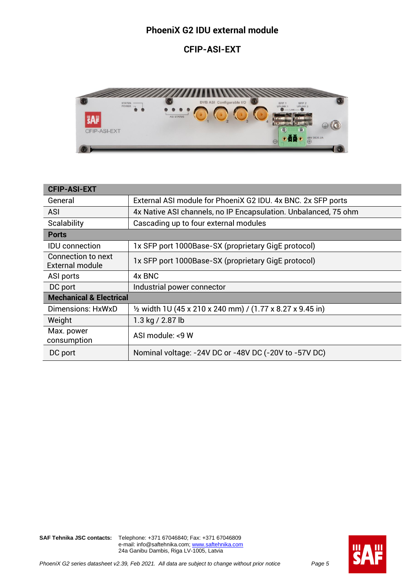#### **PhoeniX G2 IDU external module**

#### **CFIP-ASI-EXT**



| <b>CFIP-ASI-EXT</b>                                 |                                                                      |
|-----------------------------------------------------|----------------------------------------------------------------------|
| General                                             | External ASI module for PhoeniX G2 IDU. 4x BNC. 2x SFP ports         |
| <b>ASI</b>                                          | 4x Native ASI channels, no IP Encapsulation. Unbalanced, 75 ohm      |
| Scalability                                         | Cascading up to four external modules                                |
| <b>Ports</b>                                        |                                                                      |
| <b>IDU</b> connection                               | 1x SFP port 1000Base-SX (proprietary GigE protocol)                  |
| <b>Connection to next</b><br><b>External module</b> | 1x SFP port 1000Base-SX (proprietary GigE protocol)                  |
| ASI ports                                           | 4x BNC                                                               |
| DC port                                             | Industrial power connector                                           |
| <b>Mechanical &amp; Electrical</b>                  |                                                                      |
| Dimensions: HxWxD                                   | $\frac{1}{2}$ width 1U (45 x 210 x 240 mm) / (1.77 x 8.27 x 9.45 in) |
| Weight                                              | 1.3 kg / 2.87 lb                                                     |
| Max. power<br>consumption                           | ASI module: <9 W                                                     |
| DC port                                             | Nominal voltage: -24V DC or -48V DC (-20V to -57V DC)                |

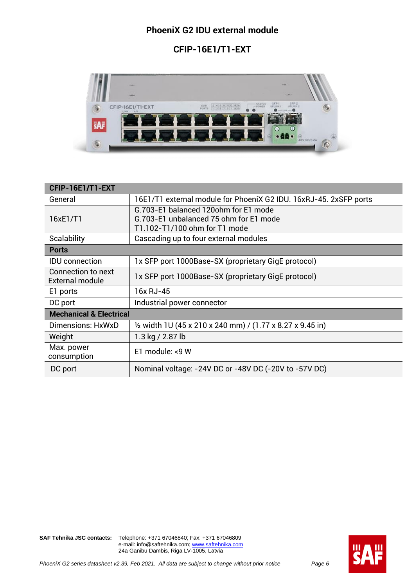#### **PhoeniX G2 IDU external module**

### **CFIP-16E1/T1-EXT**



| CFIP-16E1/T1-EXT                             |                                                                      |
|----------------------------------------------|----------------------------------------------------------------------|
| General                                      | 16E1/T1 external module for PhoeniX G2 IDU. 16xRJ-45. 2xSFP ports    |
|                                              | G.703-E1 balanced 120ohm for E1 mode                                 |
| 16xE1/T1                                     | G.703-E1 unbalanced 75 ohm for E1 mode                               |
|                                              | T1.102-T1/100 ohm for T1 mode                                        |
| Scalability                                  | Cascading up to four external modules                                |
| <b>Ports</b>                                 |                                                                      |
| <b>IDU</b> connection                        | 1x SFP port 1000Base-SX (proprietary GigE protocol)                  |
| Connection to next<br><b>External module</b> | 1x SFP port 1000Base-SX (proprietary GigE protocol)                  |
| E1 ports                                     | 16x RJ-45                                                            |
| DC port                                      | Industrial power connector                                           |
| <b>Mechanical &amp; Electrical</b>           |                                                                      |
| Dimensions: HxWxD                            | $\frac{1}{2}$ width 1U (45 x 210 x 240 mm) / (1.77 x 8.27 x 9.45 in) |
| Weight                                       | 1.3 kg / 2.87 lb                                                     |
| Max. power<br>consumption                    | E1 module: <9 W                                                      |
| DC port                                      | Nominal voltage: -24V DC or -48V DC (-20V to -57V DC)                |

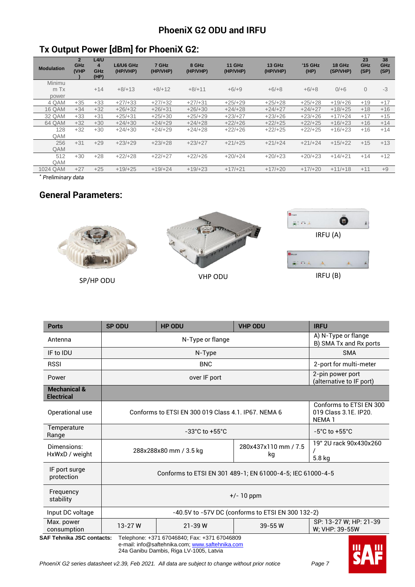### **PhoeniX G2 ODU and IRFU**

# **Tx Output Power [dBm] for PhoeniX G2:**

| <b>Modulation</b> | $\overline{2}$<br>GHz<br>(VHP | L4/U<br>$\overline{\mathbf{4}}$<br>GHz<br>(HP) | L6/U6 GHz<br>(HP/VHP) | 7 GHz<br>(HP/VHP) | 8 GHz<br>(HP/VHP) | <b>11 GHz</b><br>(HP/VHP) | <b>13 GHz</b><br>(HP/VHP) | <b>*15 GHz</b><br>(HP) | 18 GHz<br>(SP/VHP) | 23<br>GHz<br>(SP) | 38<br>GHz<br>(SP) |
|-------------------|-------------------------------|------------------------------------------------|-----------------------|-------------------|-------------------|---------------------------|---------------------------|------------------------|--------------------|-------------------|-------------------|
| Minimu            |                               |                                                |                       |                   |                   |                           |                           |                        |                    |                   |                   |
| m Tx              |                               | $+14$                                          | $+8/+13$              | $+8/+12$          | $+8/+11$          | $+6/+9$                   | $+6/+8$                   | $+6/+8$                | $0/+6$             | $\Omega$          | $-3$              |
| power             |                               |                                                |                       |                   |                   |                           |                           |                        |                    |                   |                   |
| 4 QAM             | $+35$                         | $+33$                                          | $+27/+33$             | $+27/+32$         | $+27/+31$         | $+25/+29$                 | $+25/+28$                 | $+25/+28$              | $+19/+26$          | $+19$             | $+17$             |
| <b>16 QAM</b>     | $+34$                         | $+32$                                          | $+26/+32$             | $+26/+31$         | $+26/+30$         | $+24/+28$                 | $+24/+27$                 | $+24/+27$              | $+18/+25$          | $+18$             | $+16$             |
| 32 QAM            | $+33$                         | $+31$                                          | $+25/+31$             | $+25/+30$         | $+25/+29$         | $+23/+27$                 | $+23/+26$                 | $+23/+26$              | $+17/+24$          | $+17$             | $+15$             |
| 64 QAM            | $+32$                         | $+30$                                          | $+24/+30$             | $+24/+29$         | $+24/+28$         | $+22/+26$                 | $+22/+25$                 | $+22/+25$              | $+16/+23$          | $+16$             | $+14$             |
| 128               | $+32$                         | $+30$                                          | $+24/+30$             | $+24/+29$         | $+24/+28$         | $+22/+26$                 | $+22/+25$                 | $+22/+25$              | $+16/+23$          | $+16$             | $+14$             |
| QAM               |                               |                                                |                       |                   |                   |                           |                           |                        |                    |                   |                   |
| 256               | $+31$                         | $+29$                                          | $+23/+29$             | $+23/+28$         | $+23/+27$         | $+21/+25$                 | $+21/+24$                 | $+21/+24$              | $+15/+22$          | $+15$             | $+13$             |
| QAM               |                               |                                                |                       |                   |                   |                           |                           |                        |                    |                   |                   |
| 512               | $+30$                         | $+28$                                          | $+22/+28$             | $+22/+27$         | $+22/+26$         | $+20/+24$                 | $+20/+23$                 | $+20/+23$              | $+14/+21$          | $+14$             | $+12$             |
| QAM               |                               |                                                |                       |                   |                   |                           |                           |                        |                    |                   |                   |
| 1024 QAM          | $+27$                         | $+25$                                          | $+19/+25$             | $+19/+24$         | $+19/+23$         | $+17/+21$                 | $+17/+20$                 | $+17/+20$              | $+11/+18$          | $+11$             | $+9$              |
|                   |                               |                                                |                       |                   |                   |                           |                           |                        |                    |                   |                   |

*\* Preliminary data*

#### **General Parameters:**



| <b>Ports</b>                                 | <b>SP ODU</b>                                                                                                                       | <b>HP ODU</b>                                                           | <b>VHP ODU</b>                                    | <b>IRFU</b>                                  |  |  |  |  |  |  |
|----------------------------------------------|-------------------------------------------------------------------------------------------------------------------------------------|-------------------------------------------------------------------------|---------------------------------------------------|----------------------------------------------|--|--|--|--|--|--|
| Antenna                                      |                                                                                                                                     | A) N-Type or flange<br>B) SMA Tx and Rx ports                           |                                                   |                                              |  |  |  |  |  |  |
| IF to IDU                                    |                                                                                                                                     | <b>SMA</b><br>N-Type                                                    |                                                   |                                              |  |  |  |  |  |  |
| <b>RSSI</b>                                  |                                                                                                                                     | <b>BNC</b>                                                              |                                                   | 2-port for multi-meter                       |  |  |  |  |  |  |
| Power                                        |                                                                                                                                     | over IF port                                                            |                                                   | 2-pin power port<br>(alternative to IF port) |  |  |  |  |  |  |
| <b>Mechanical &amp;</b><br><b>Electrical</b> |                                                                                                                                     |                                                                         |                                                   |                                              |  |  |  |  |  |  |
| Operational use                              | Conforms to ETSI EN 300<br>Conforms to ETSI EN 300 019 Class 4.1, IP67, NEMA 6<br>019 Class 3.1E. IP20.<br>NEMA <sub>1</sub>        |                                                                         |                                                   |                                              |  |  |  |  |  |  |
| Temperature<br>Range                         |                                                                                                                                     | $-33^{\circ}$ C to $+55^{\circ}$ C<br>$-5^{\circ}$ C to $+55^{\circ}$ C |                                                   |                                              |  |  |  |  |  |  |
| Dimensions:<br>HxWxD / weight                |                                                                                                                                     | 288x288x80 mm / 3.5 kg                                                  | 280x437x110 mm / 7.5<br>kg                        | 19" 2U rack 90x430x260<br>5.8 kg             |  |  |  |  |  |  |
| IF port surge<br>protection                  |                                                                                                                                     | Conforms to ETSI EN 301 489-1; EN 61000-4-5; IEC 61000-4-5              |                                                   |                                              |  |  |  |  |  |  |
| Frequency<br>stability                       | $+/- 10$ ppm                                                                                                                        |                                                                         |                                                   |                                              |  |  |  |  |  |  |
| Input DC voltage                             |                                                                                                                                     |                                                                         | -40.5V to -57V DC (conforms to ETSI EN 300 132-2) |                                              |  |  |  |  |  |  |
| Max. power<br>consumption                    | 13-27W                                                                                                                              | $21 - 39$ W                                                             | SP: 13-27 W; HP: 21-39<br>W; VHP: 39-55W          |                                              |  |  |  |  |  |  |
|                                              | <b>SAF Tehnika JSC contacts:</b><br>Telephone: +371 67046840; Fax: +371 67046809<br>e-mail: info@saftehnika.com; www.saftehnika.com |                                                                         |                                                   |                                              |  |  |  |  |  |  |

24a Ganibu Dambis, Riga LV-1005, Latvia